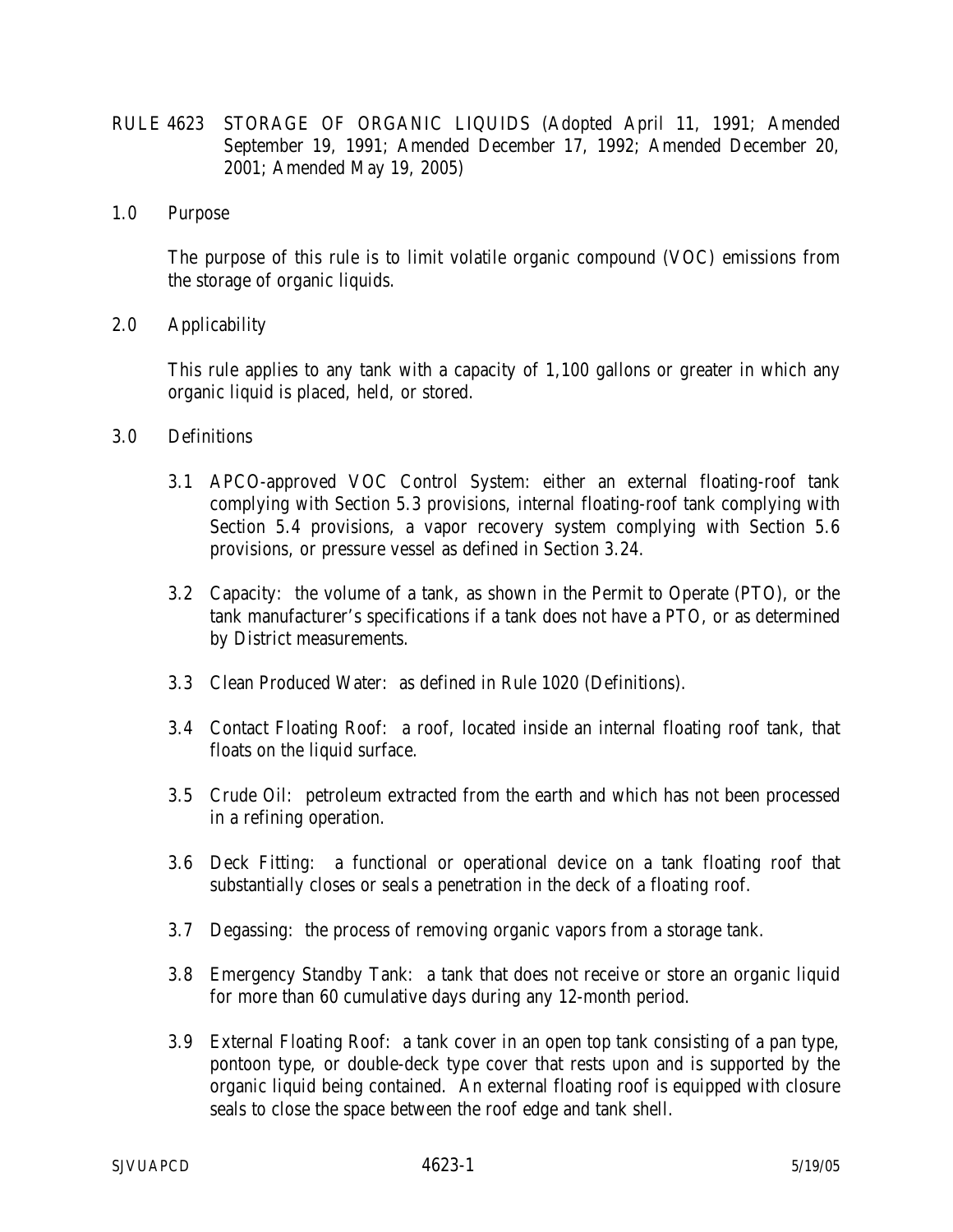- RULE 4623 STORAGE OF ORGANIC LIQUIDS (Adopted April 11, 1991; Amended September 19, 1991; Amended December 17, 1992; Amended December 20, 2001; Amended May 19, 2005)
- 1.0 Purpose

 The purpose of this rule is to limit volatile organic compound (VOC) emissions from the storage of organic liquids.

2.0 Applicability

This rule applies to any tank with a capacity of 1,100 gallons or greater in which any organic liquid is placed, held, or stored.

- 3.0 Definitions
	- 3.1 APCO-approved VOC Control System: either an external floating-roof tank complying with Section 5.3 provisions, internal floating-roof tank complying with Section 5.4 provisions, a vapor recovery system complying with Section 5.6 provisions, or pressure vessel as defined in Section 3.24.
	- 3.2 Capacity: the volume of a tank, as shown in the Permit to Operate (PTO), or the tank manufacturer's specifications if a tank does not have a PTO, or as determined by District measurements.
	- 3.3 Clean Produced Water: as defined in Rule 1020 (Definitions).
	- 3.4 Contact Floating Roof: a roof, located inside an internal floating roof tank, that floats on the liquid surface.
	- 3.5 Crude Oil: petroleum extracted from the earth and which has not been processed in a refining operation.
	- 3.6 Deck Fitting: a functional or operational device on a tank floating roof that substantially closes or seals a penetration in the deck of a floating roof.
	- 3.7 Degassing: the process of removing organic vapors from a storage tank.
	- 3.8 Emergency Standby Tank: a tank that does not receive or store an organic liquid for more than 60 cumulative days during any 12-month period.
	- 3.9 External Floating Roof: a tank cover in an open top tank consisting of a pan type, pontoon type, or double-deck type cover that rests upon and is supported by the organic liquid being contained. An external floating roof is equipped with closure seals to close the space between the roof edge and tank shell.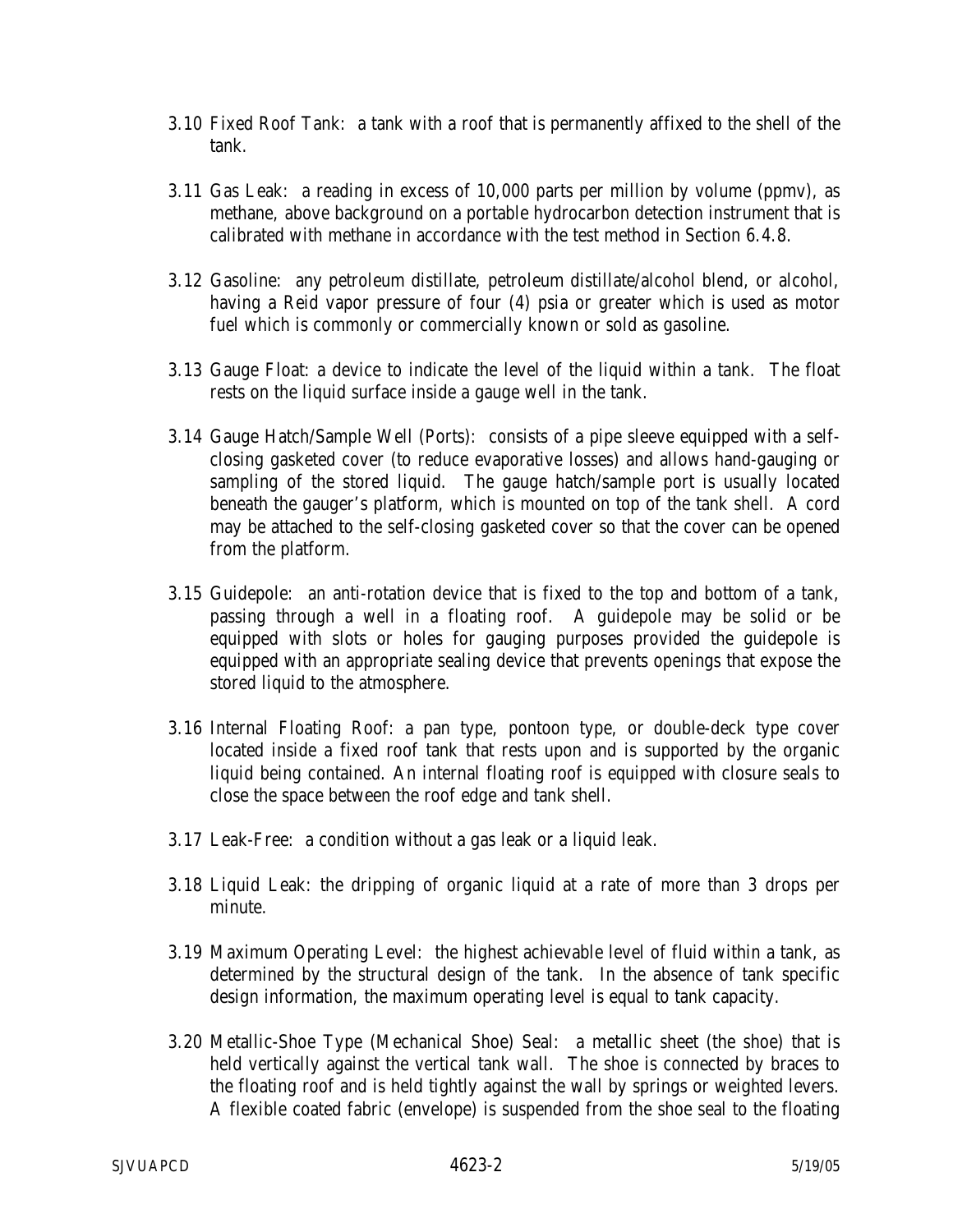- 3.10 Fixed Roof Tank: a tank with a roof that is permanently affixed to the shell of the tank.
- 3.11 Gas Leak: a reading in excess of 10,000 parts per million by volume (ppmv), as methane, above background on a portable hydrocarbon detection instrument that is calibrated with methane in accordance with the test method in Section 6.4.8.
- 3.12 Gasoline: any petroleum distillate, petroleum distillate/alcohol blend, or alcohol, having a Reid vapor pressure of four (4) psia or greater which is used as motor fuel which is commonly or commercially known or sold as gasoline.
- 3.13 Gauge Float: a device to indicate the level of the liquid within a tank. The float rests on the liquid surface inside a gauge well in the tank.
- 3.14 Gauge Hatch/Sample Well (Ports): consists of a pipe sleeve equipped with a selfclosing gasketed cover (to reduce evaporative losses) and allows hand-gauging or sampling of the stored liquid. The gauge hatch/sample port is usually located beneath the gauger's platform, which is mounted on top of the tank shell. A cord may be attached to the self-closing gasketed cover so that the cover can be opened from the platform.
- 3.15 Guidepole: an anti-rotation device that is fixed to the top and bottom of a tank, passing through a well in a floating roof. A guidepole may be solid or be equipped with slots or holes for gauging purposes provided the guidepole is equipped with an appropriate sealing device that prevents openings that expose the stored liquid to the atmosphere.
- 3.16 Internal Floating Roof: a pan type, pontoon type, or double-deck type cover located inside a fixed roof tank that rests upon and is supported by the organic liquid being contained. An internal floating roof is equipped with closure seals to close the space between the roof edge and tank shell.
- 3.17 Leak-Free: a condition without a gas leak or a liquid leak.
- 3.18 Liquid Leak: the dripping of organic liquid at a rate of more than 3 drops per minute.
- 3.19 Maximum Operating Level: the highest achievable level of fluid within a tank, as determined by the structural design of the tank. In the absence of tank specific design information, the maximum operating level is equal to tank capacity.
- 3.20 Metallic-Shoe Type (Mechanical Shoe) Seal: a metallic sheet (the shoe) that is held vertically against the vertical tank wall. The shoe is connected by braces to the floating roof and is held tightly against the wall by springs or weighted levers. A flexible coated fabric (envelope) is suspended from the shoe seal to the floating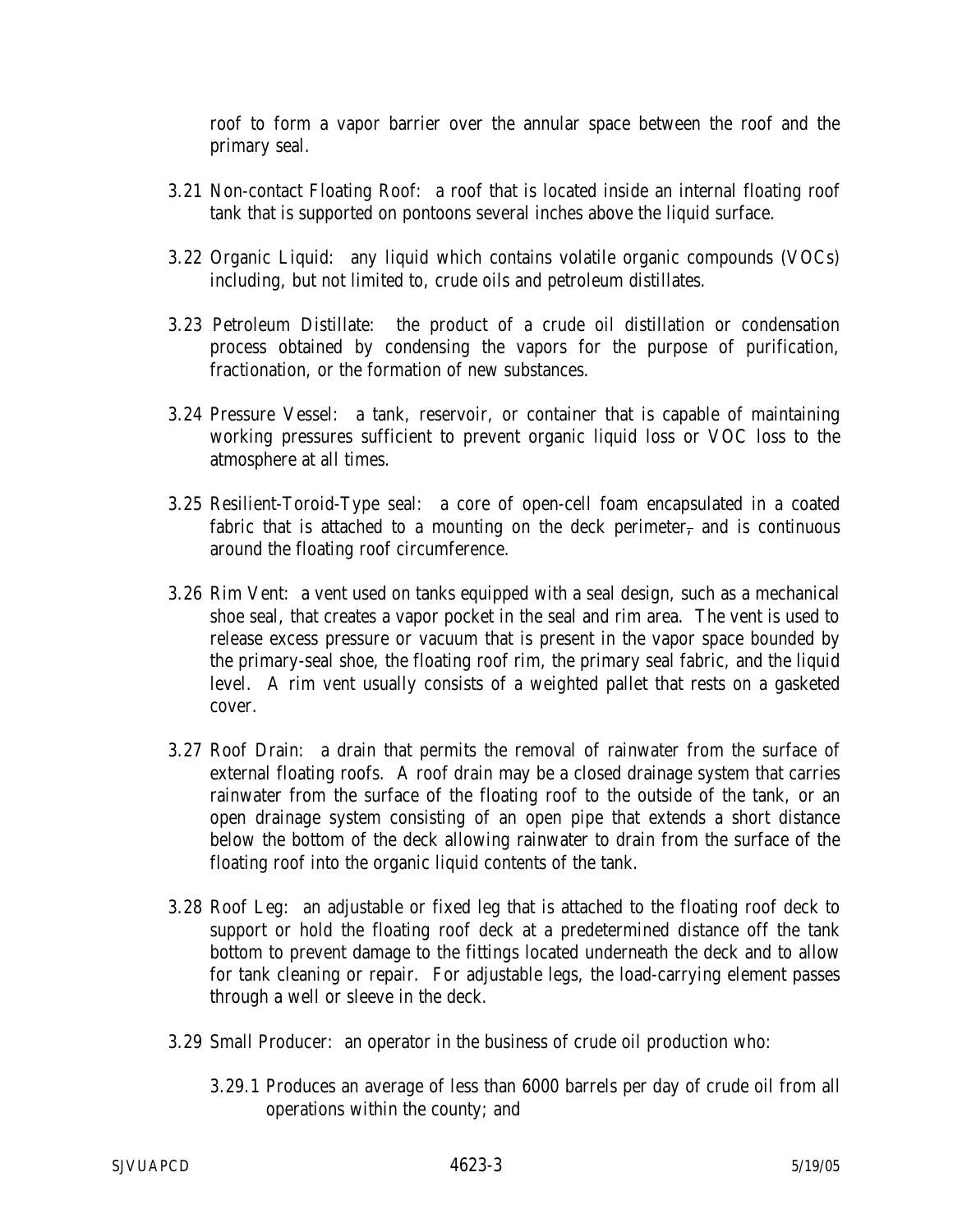roof to form a vapor barrier over the annular space between the roof and the primary seal.

- 3.21 Non-contact Floating Roof: a roof that is located inside an internal floating roof tank that is supported on pontoons several inches above the liquid surface.
- 3.22 Organic Liquid: any liquid which contains volatile organic compounds (VOCs) including, but not limited to, crude oils and petroleum distillates.
- 3.23 Petroleum Distillate: the product of a crude oil distillation or condensation process obtained by condensing the vapors for the purpose of purification, fractionation, or the formation of new substances.
- 3.24 Pressure Vessel: a tank, reservoir, or container that is capable of maintaining working pressures sufficient to prevent organic liquid loss or VOC loss to the atmosphere at all times.
- 3.25 Resilient-Toroid-Type seal: a core of open-cell foam encapsulated in a coated fabric that is attached to a mounting on the deck perimeter, and is continuous around the floating roof circumference.
- 3.26 Rim Vent: a vent used on tanks equipped with a seal design, such as a mechanical shoe seal, that creates a vapor pocket in the seal and rim area. The vent is used to release excess pressure or vacuum that is present in the vapor space bounded by the primary-seal shoe, the floating roof rim, the primary seal fabric, and the liquid level. A rim vent usually consists of a weighted pallet that rests on a gasketed cover.
- 3.27 Roof Drain: a drain that permits the removal of rainwater from the surface of external floating roofs. A roof drain may be a closed drainage system that carries rainwater from the surface of the floating roof to the outside of the tank, or an open drainage system consisting of an open pipe that extends a short distance below the bottom of the deck allowing rainwater to drain from the surface of the floating roof into the organic liquid contents of the tank.
- 3.28 Roof Leg: an adjustable or fixed leg that is attached to the floating roof deck to support or hold the floating roof deck at a predetermined distance off the tank bottom to prevent damage to the fittings located underneath the deck and to allow for tank cleaning or repair. For adjustable legs, the load-carrying element passes through a well or sleeve in the deck.
- 3.29 Small Producer: an operator in the business of crude oil production who:
	- 3.29.1 Produces an average of less than 6000 barrels per day of crude oil from all operations within the county; and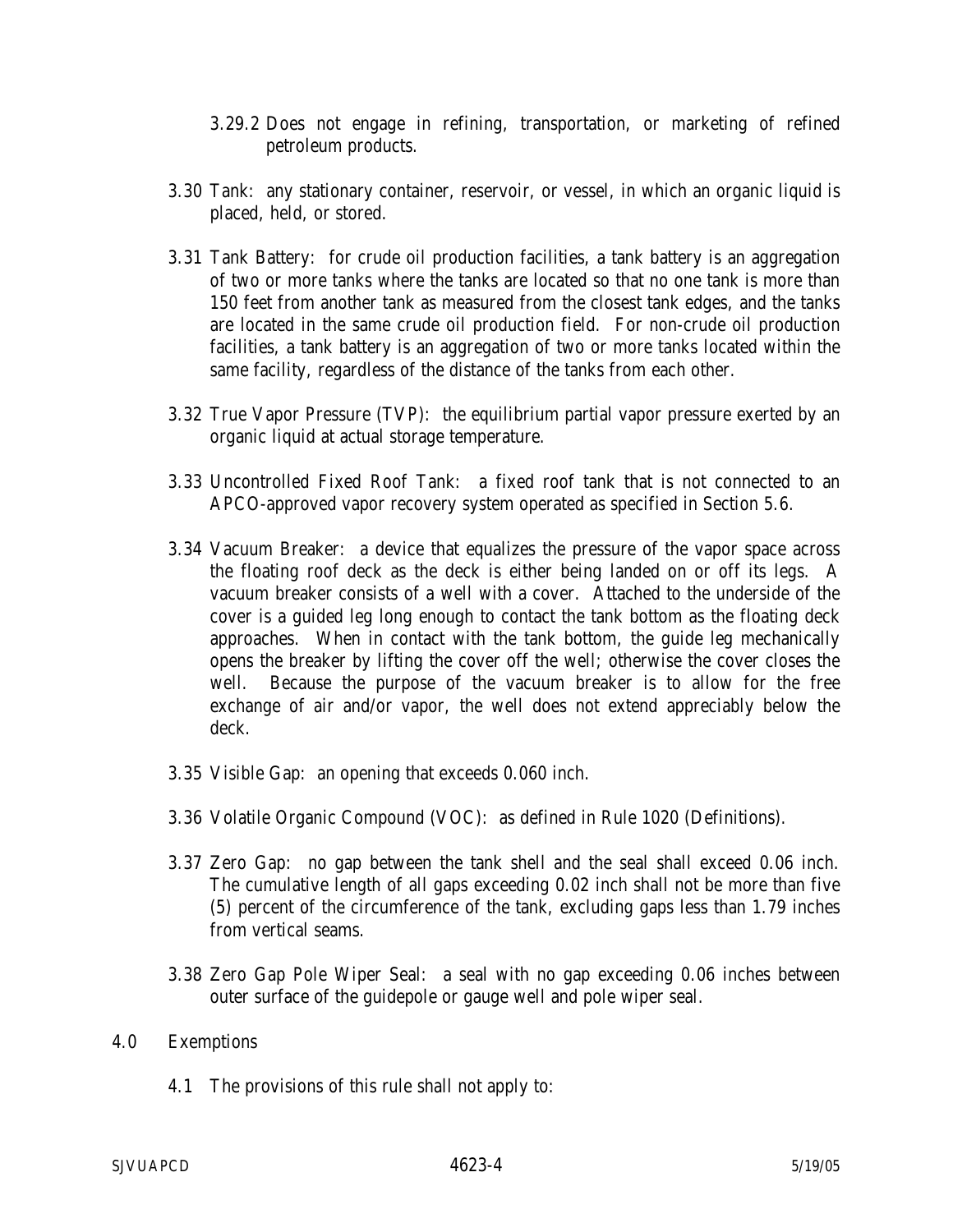- 3.29.2 Does not engage in refining, transportation, or marketing of refined petroleum products.
- 3.30 Tank: any stationary container, reservoir, or vessel, in which an organic liquid is placed, held, or stored.
- 3.31 Tank Battery: for crude oil production facilities, a tank battery is an aggregation of two or more tanks where the tanks are located so that no one tank is more than 150 feet from another tank as measured from the closest tank edges, and the tanks are located in the same crude oil production field. For non-crude oil production facilities, a tank battery is an aggregation of two or more tanks located within the same facility, regardless of the distance of the tanks from each other.
- 3.32 True Vapor Pressure (TVP): the equilibrium partial vapor pressure exerted by an organic liquid at actual storage temperature.
- 3.33 Uncontrolled Fixed Roof Tank: a fixed roof tank that is not connected to an APCO-approved vapor recovery system operated as specified in Section 5.6.
- 3.34 Vacuum Breaker: a device that equalizes the pressure of the vapor space across the floating roof deck as the deck is either being landed on or off its legs. A vacuum breaker consists of a well with a cover. Attached to the underside of the cover is a guided leg long enough to contact the tank bottom as the floating deck approaches. When in contact with the tank bottom, the guide leg mechanically opens the breaker by lifting the cover off the well; otherwise the cover closes the well. Because the purpose of the vacuum breaker is to allow for the free exchange of air and/or vapor, the well does not extend appreciably below the deck.
- 3.35 Visible Gap: an opening that exceeds 0.060 inch.
- 3.36 Volatile Organic Compound (VOC): as defined in Rule 1020 (Definitions).
- 3.37 Zero Gap: no gap between the tank shell and the seal shall exceed 0.06 inch. The cumulative length of all gaps exceeding 0.02 inch shall not be more than five (5) percent of the circumference of the tank, excluding gaps less than 1.79 inches from vertical seams.
- 3.38 Zero Gap Pole Wiper Seal: a seal with no gap exceeding 0.06 inches between outer surface of the guidepole or gauge well and pole wiper seal.

#### 4.0 Exemptions

4.1 The provisions of this rule shall not apply to: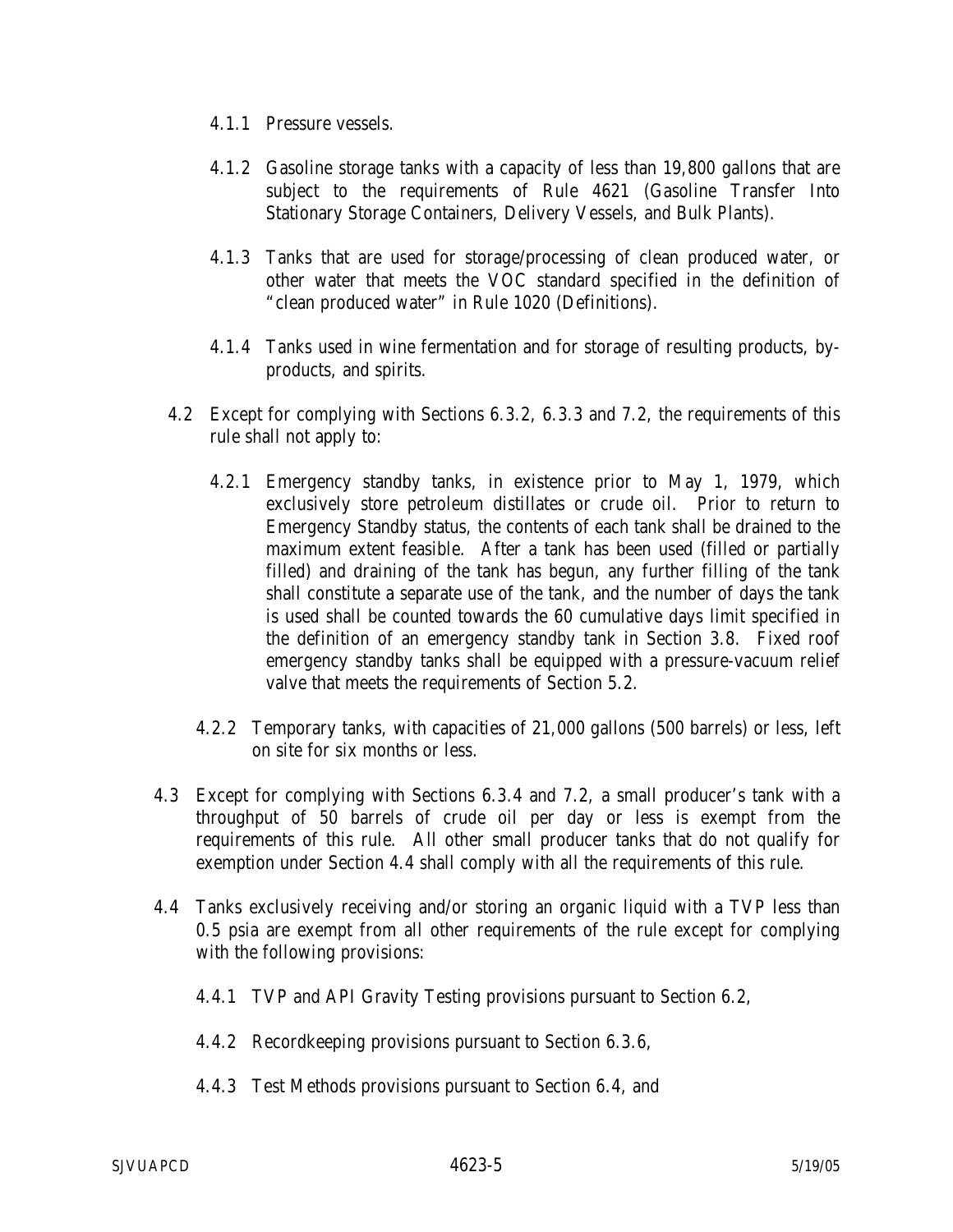- 4.1.1 Pressure vessels.
- 4.1.2 Gasoline storage tanks with a capacity of less than 19,800 gallons that are subject to the requirements of Rule 4621 (Gasoline Transfer Into Stationary Storage Containers, Delivery Vessels, and Bulk Plants).
- 4.1.3 Tanks that are used for storage/processing of clean produced water, or other water that meets the VOC standard specified in the definition of "clean produced water" in Rule 1020 (Definitions).
- 4.1.4 Tanks used in wine fermentation and for storage of resulting products, byproducts, and spirits.
- 4.2 Except for complying with Sections 6.3.2, 6.3.3 and 7.2, the requirements of this rule shall not apply to:
	- 4.2.1 Emergency standby tanks, in existence prior to May 1, 1979, which exclusively store petroleum distillates or crude oil. Prior to return to Emergency Standby status, the contents of each tank shall be drained to the maximum extent feasible. After a tank has been used (filled or partially filled) and draining of the tank has begun, any further filling of the tank shall constitute a separate use of the tank, and the number of days the tank is used shall be counted towards the 60 cumulative days limit specified in the definition of an emergency standby tank in Section 3.8. Fixed roof emergency standby tanks shall be equipped with a pressure-vacuum relief valve that meets the requirements of Section 5.2.
	- 4.2.2 Temporary tanks, with capacities of 21,000 gallons (500 barrels) or less, left on site for six months or less.
- 4.3 Except for complying with Sections 6.3.4 and 7.2, a small producer's tank with a throughput of 50 barrels of crude oil per day or less is exempt from the requirements of this rule. All other small producer tanks that do not qualify for exemption under Section 4.4 shall comply with all the requirements of this rule.
- 4.4 Tanks exclusively receiving and/or storing an organic liquid with a TVP less than 0.5 psia are exempt from all other requirements of the rule except for complying with the following provisions:
	- 4.4.1 TVP and API Gravity Testing provisions pursuant to Section 6.2,
	- 4.4.2 Recordkeeping provisions pursuant to Section 6.3.6,
	- 4.4.3 Test Methods provisions pursuant to Section 6.4, and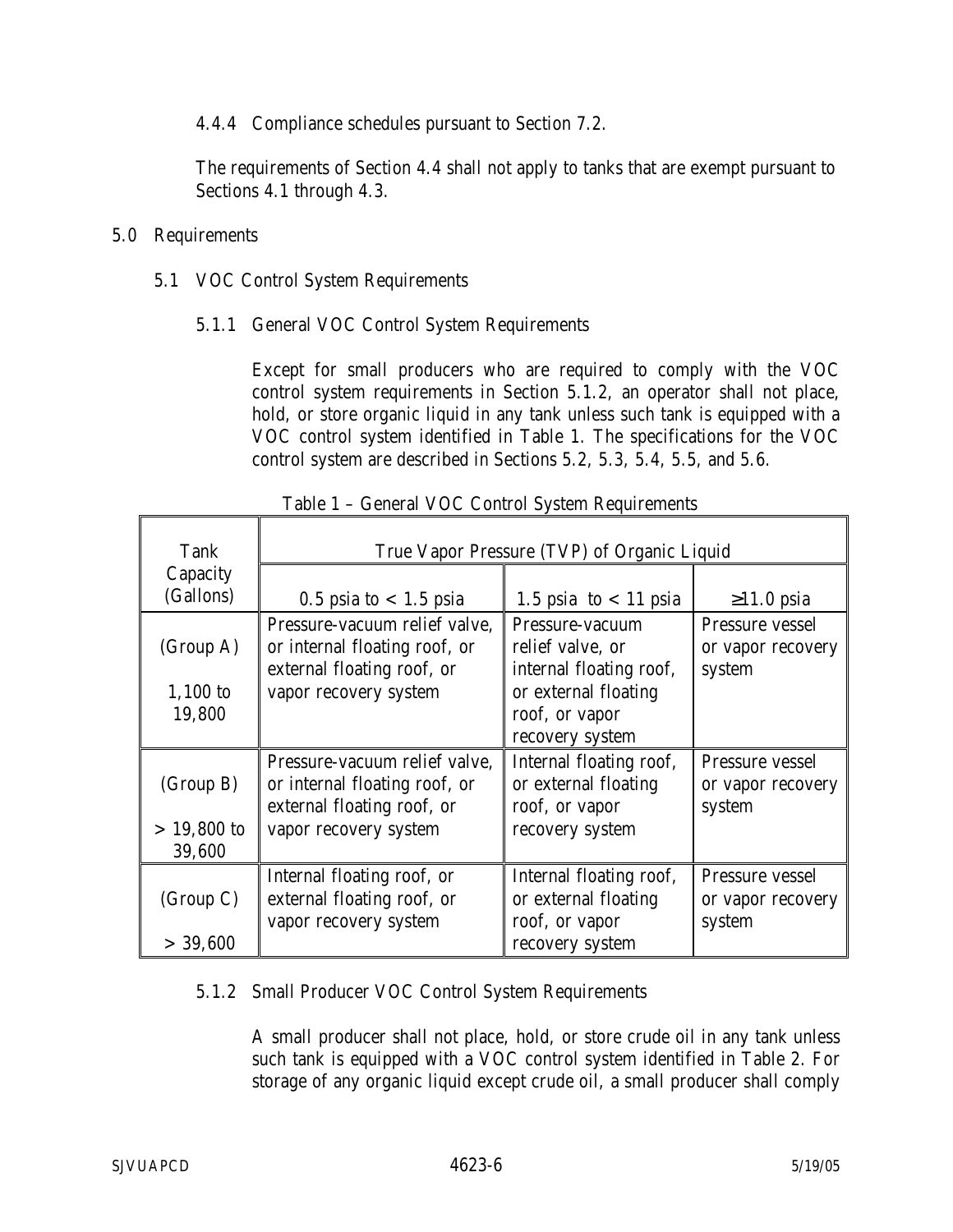4.4.4 Compliance schedules pursuant to Section 7.2.

The requirements of Section 4.4 shall not apply to tanks that are exempt pursuant to Sections 4.1 through 4.3.

### 5.0 Requirements

- 5.1 VOC Control System Requirements
	- 5.1.1 General VOC Control System Requirements

Except for small producers who are required to comply with the VOC control system requirements in Section 5.1.2, an operator shall not place, hold, or store organic liquid in any tank unless such tank is equipped with a VOC control system identified in Table 1. The specifications for the VOC control system are described in Sections 5.2, 5.3, 5.4, 5.5, and 5.6.

| Tank          | True Vapor Pressure (TVP) of Organic Liquid |                         |                   |  |
|---------------|---------------------------------------------|-------------------------|-------------------|--|
| Capacity      |                                             |                         |                   |  |
| (Gallons)     | $0.5$ psia to $< 1.5$ psia                  | 1.5 psia to $<$ 11 psia | $\geq$ 1.0 psia   |  |
|               | Pressure-vacuum relief valve,               | Pressure-vacuum         | Pressure vessel   |  |
| (Group A)     | or internal floating roof, or               | relief valve, or        | or vapor recovery |  |
|               | external floating roof, or                  | internal floating roof, | system            |  |
| $1,100$ to    | vapor recovery system                       | or external floating    |                   |  |
| 19,800        |                                             | roof, or vapor          |                   |  |
|               |                                             | recovery system         |                   |  |
|               | Pressure-vacuum relief valve,               | Internal floating roof, | Pressure vessel   |  |
| (Group B)     | or internal floating roof, or               | or external floating    | or vapor recovery |  |
|               | external floating roof, or                  | roof, or vapor          | system            |  |
| $> 19,800$ to | vapor recovery system                       | recovery system         |                   |  |
| 39,600        |                                             |                         |                   |  |
|               | Internal floating roof, or                  | Internal floating roof, | Pressure vessel   |  |
| (Group C)     | external floating roof, or                  | or external floating    | or vapor recovery |  |
|               | vapor recovery system                       | roof, or vapor          | system            |  |
| > 39,600      |                                             | recovery system         |                   |  |

Table 1 – General VOC Control System Requirements

### 5.1.2 Small Producer VOC Control System Requirements

A small producer shall not place, hold, or store crude oil in any tank unless such tank is equipped with a VOC control system identified in Table 2. For storage of any organic liquid except crude oil, a small producer shall comply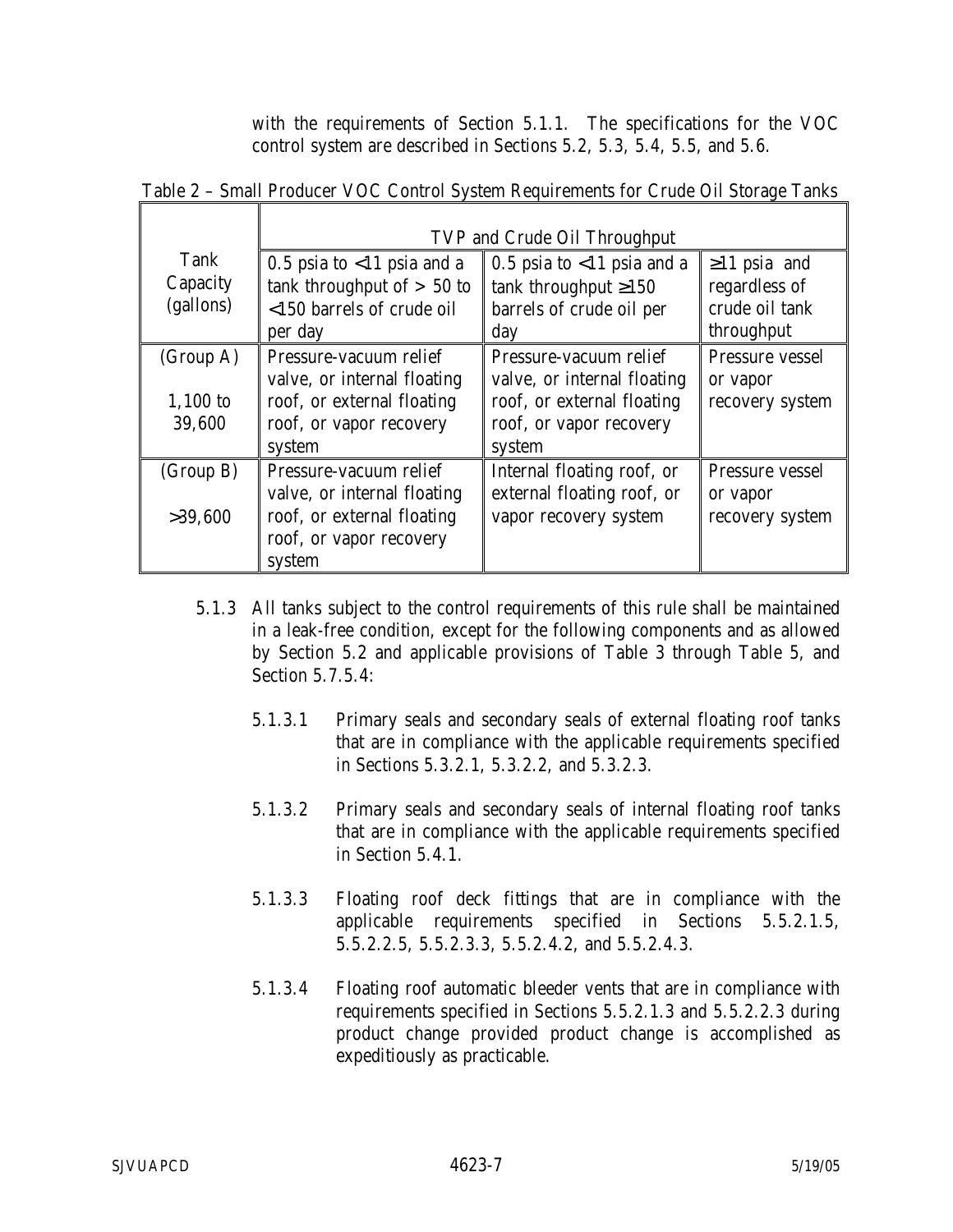with the requirements of Section 5.1.1. The specifications for the VOC control system are described in Sections 5.2, 5.3, 5.4, 5.5, and 5.6.

|            | TVP and Crude Oil Throughput  |                               |                    |  |
|------------|-------------------------------|-------------------------------|--------------------|--|
| Tank       | 0.5 psia to $<$ 11 psia and a | 0.5 psia to $<$ 11 psia and a | $\geq$ 11 psia and |  |
| Capacity   | tank throughput of $> 50$ to  | tank throughput $\geq 150$    | regardless of      |  |
| (gallons)  | <150 barrels of crude oil     | barrels of crude oil per      | crude oil tank     |  |
|            | per day                       | day                           | throughput         |  |
| (Group A)  | Pressure-vacuum relief        | Pressure-vacuum relief        | Pressure vessel    |  |
|            | valve, or internal floating   | valve, or internal floating   | or vapor           |  |
| $1,100$ to | roof, or external floating    | roof, or external floating    | recovery system    |  |
| 39,600     | roof, or vapor recovery       | roof, or vapor recovery       |                    |  |
|            | system                        | system                        |                    |  |
| (Group B)  | Pressure-vacuum relief        | Internal floating roof, or    | Pressure vessel    |  |
|            | valve, or internal floating   | external floating roof, or    | or vapor           |  |
| >39,600    | roof, or external floating    | vapor recovery system         | recovery system    |  |
|            | roof, or vapor recovery       |                               |                    |  |
|            | system                        |                               |                    |  |

Table 2 – Small Producer VOC Control System Requirements for Crude Oil Storage Tanks

- 5.1.3 All tanks subject to the control requirements of this rule shall be maintained in a leak-free condition, except for the following components and as allowed by Section 5.2 and applicable provisions of Table 3 through Table 5, and Section 5.7.5.4:
	- 5.1.3.1 Primary seals and secondary seals of external floating roof tanks that are in compliance with the applicable requirements specified in Sections 5.3.2.1, 5.3.2.2, and 5.3.2.3.
	- 5.1.3.2 Primary seals and secondary seals of internal floating roof tanks that are in compliance with the applicable requirements specified in Section 5.4.1.
	- 5.1.3.3 Floating roof deck fittings that are in compliance with the applicable requirements specified in Sections 5.5.2.1.5, 5.5.2.2.5, 5.5.2.3.3, 5.5.2.4.2, and 5.5.2.4.3.
	- 5.1.3.4 Floating roof automatic bleeder vents that are in compliance with requirements specified in Sections 5.5.2.1.3 and 5.5.2.2.3 during product change provided product change is accomplished as expeditiously as practicable.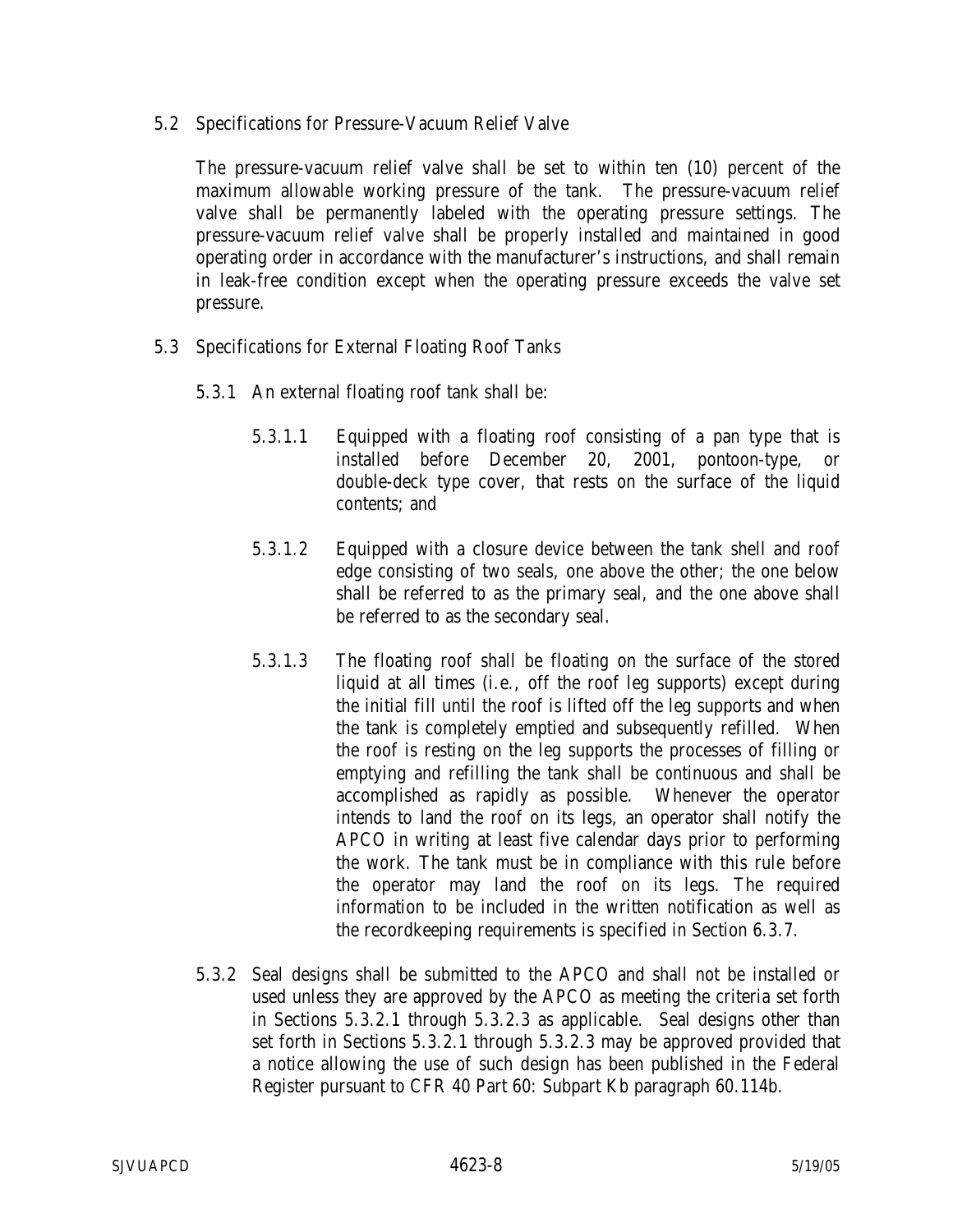5.2 Specifications for Pressure-Vacuum Relief Valve

The pressure-vacuum relief valve shall be set to within ten (10) percent of the maximum allowable working pressure of the tank. The pressure-vacuum relief valve shall be permanently labeled with the operating pressure settings. The pressure-vacuum relief valve shall be properly installed and maintained in good operating order in accordance with the manufacturer's instructions, and shall remain in leak-free condition except when the operating pressure exceeds the valve set pressure.

- 5.3 Specifications for External Floating Roof Tanks
	- 5.3.1 An external floating roof tank shall be:
		- 5.3.1.1 Equipped with a floating roof consisting of a pan type that is installed before December 20, 2001, pontoon-type, or double-deck type cover, that rests on the surface of the liquid contents; and
		- 5.3.1.2 Equipped with a closure device between the tank shell and roof edge consisting of two seals, one above the other; the one below shall be referred to as the primary seal, and the one above shall be referred to as the secondary seal.
		- 5.3.1.3 The floating roof shall be floating on the surface of the stored liquid at all times (i.e., off the roof leg supports) except during the initial fill until the roof is lifted off the leg supports and when the tank is completely emptied and subsequently refilled. When the roof is resting on the leg supports the processes of filling or emptying and refilling the tank shall be continuous and shall be accomplished as rapidly as possible. Whenever the operator intends to land the roof on its legs, an operator shall notify the APCO in writing at least five calendar days prior to performing the work. The tank must be in compliance with this rule before the operator may land the roof on its legs. The required information to be included in the written notification as well as the recordkeeping requirements is specified in Section 6.3.7.
	- 5.3.2 Seal designs shall be submitted to the APCO and shall not be installed or used unless they are approved by the APCO as meeting the criteria set forth in Sections 5.3.2.1 through 5.3.2.3 as applicable. Seal designs other than set forth in Sections 5.3.2.1 through 5.3.2.3 may be approved provided that a notice allowing the use of such design has been published in the Federal Register pursuant to CFR 40 Part 60: Subpart Kb paragraph 60.114b.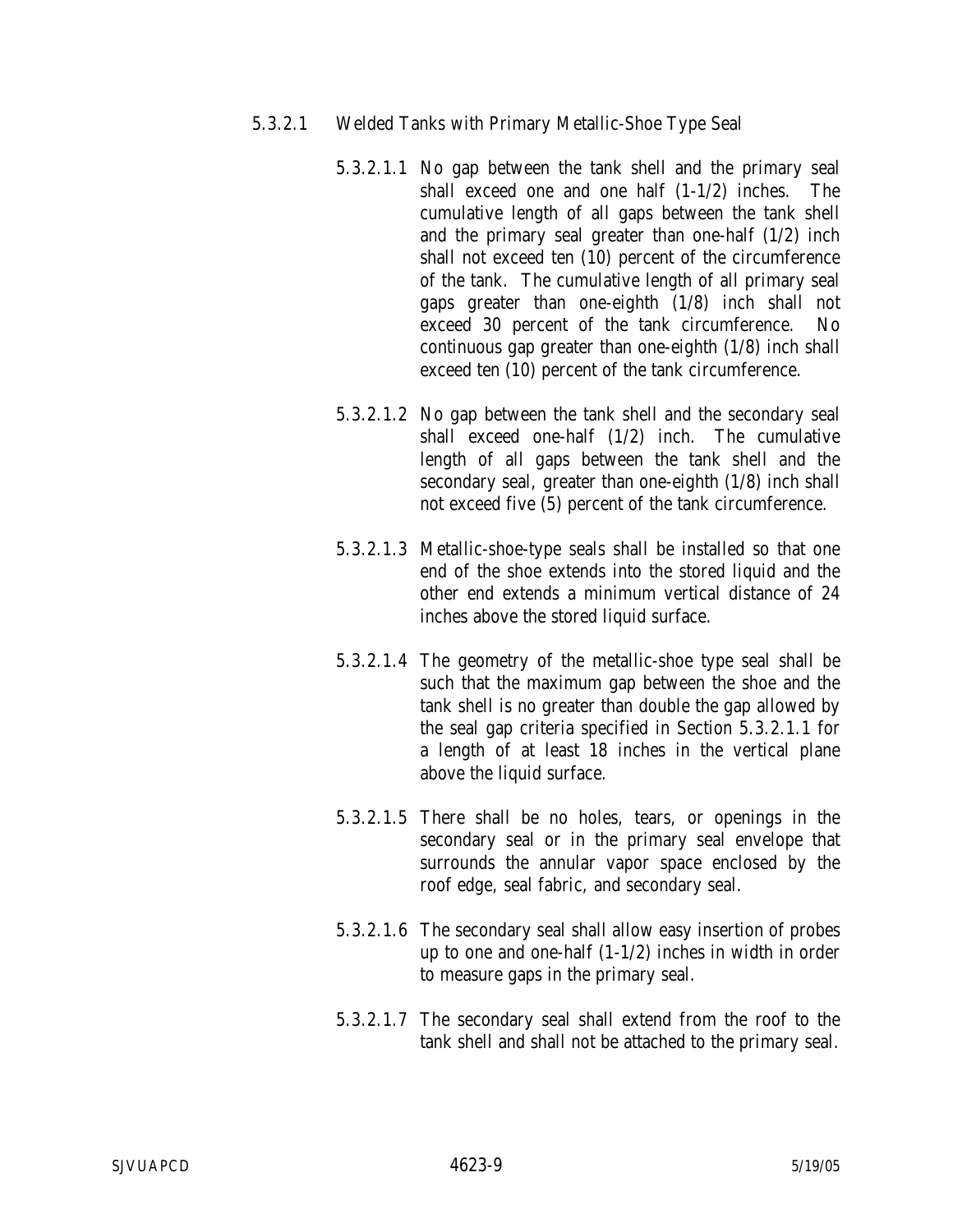- 5.3.2.1 Welded Tanks with Primary Metallic-Shoe Type Seal
	- 5.3.2.1.1 No gap between the tank shell and the primary seal shall exceed one and one half (1-1/2) inches. The cumulative length of all gaps between the tank shell and the primary seal greater than one-half (1/2) inch shall not exceed ten (10) percent of the circumference of the tank. The cumulative length of all primary seal gaps greater than one-eighth (1/8) inch shall not exceed 30 percent of the tank circumference. No continuous gap greater than one-eighth (1/8) inch shall exceed ten (10) percent of the tank circumference.
	- 5.3.2.1.2 No gap between the tank shell and the secondary seal shall exceed one-half (1/2) inch. The cumulative length of all gaps between the tank shell and the secondary seal, greater than one-eighth (1/8) inch shall not exceed five (5) percent of the tank circumference.
	- 5.3.2.1.3 Metallic-shoe-type seals shall be installed so that one end of the shoe extends into the stored liquid and the other end extends a minimum vertical distance of 24 inches above the stored liquid surface.
	- 5.3.2.1.4 The geometry of the metallic-shoe type seal shall be such that the maximum gap between the shoe and the tank shell is no greater than double the gap allowed by the seal gap criteria specified in Section 5.3.2.1.1 for a length of at least 18 inches in the vertical plane above the liquid surface.
	- 5.3.2.1.5 There shall be no holes, tears, or openings in the secondary seal or in the primary seal envelope that surrounds the annular vapor space enclosed by the roof edge, seal fabric, and secondary seal.
	- 5.3.2.1.6 The secondary seal shall allow easy insertion of probes up to one and one-half (1-1/2) inches in width in order to measure gaps in the primary seal.
	- 5.3.2.1.7 The secondary seal shall extend from the roof to the tank shell and shall not be attached to the primary seal.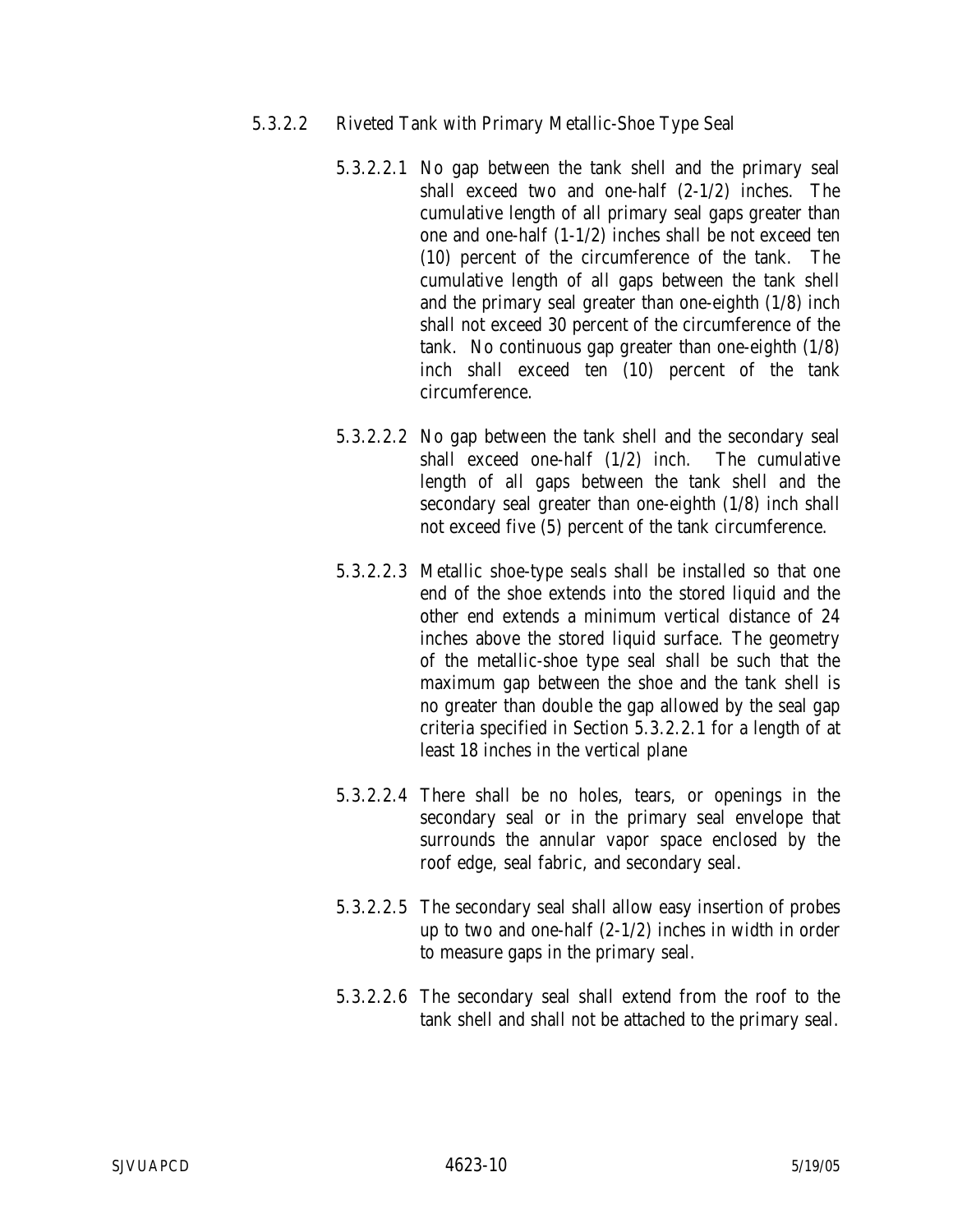- 5.3.2.2 Riveted Tank with Primary Metallic-Shoe Type Seal
	- 5.3.2.2.1 No gap between the tank shell and the primary seal shall exceed two and one-half (2-1/2) inches. The cumulative length of all primary seal gaps greater than one and one-half (1-1/2) inches shall be not exceed ten (10) percent of the circumference of the tank. The cumulative length of all gaps between the tank shell and the primary seal greater than one-eighth (1/8) inch shall not exceed 30 percent of the circumference of the tank. No continuous gap greater than one-eighth (1/8) inch shall exceed ten (10) percent of the tank circumference.
	- 5.3.2.2.2 No gap between the tank shell and the secondary seal shall exceed one-half (1/2) inch. The cumulative length of all gaps between the tank shell and the secondary seal greater than one-eighth (1/8) inch shall not exceed five (5) percent of the tank circumference.
	- 5.3.2.2.3 Metallic shoe-type seals shall be installed so that one end of the shoe extends into the stored liquid and the other end extends a minimum vertical distance of 24 inches above the stored liquid surface. The geometry of the metallic-shoe type seal shall be such that the maximum gap between the shoe and the tank shell is no greater than double the gap allowed by the seal gap criteria specified in Section 5.3.2.2.1 for a length of at least 18 inches in the vertical plane
	- 5.3.2.2.4 There shall be no holes, tears, or openings in the secondary seal or in the primary seal envelope that surrounds the annular vapor space enclosed by the roof edge, seal fabric, and secondary seal.
	- 5.3.2.2.5 The secondary seal shall allow easy insertion of probes up to two and one-half (2-1/2) inches in width in order to measure gaps in the primary seal.
	- 5.3.2.2.6 The secondary seal shall extend from the roof to the tank shell and shall not be attached to the primary seal.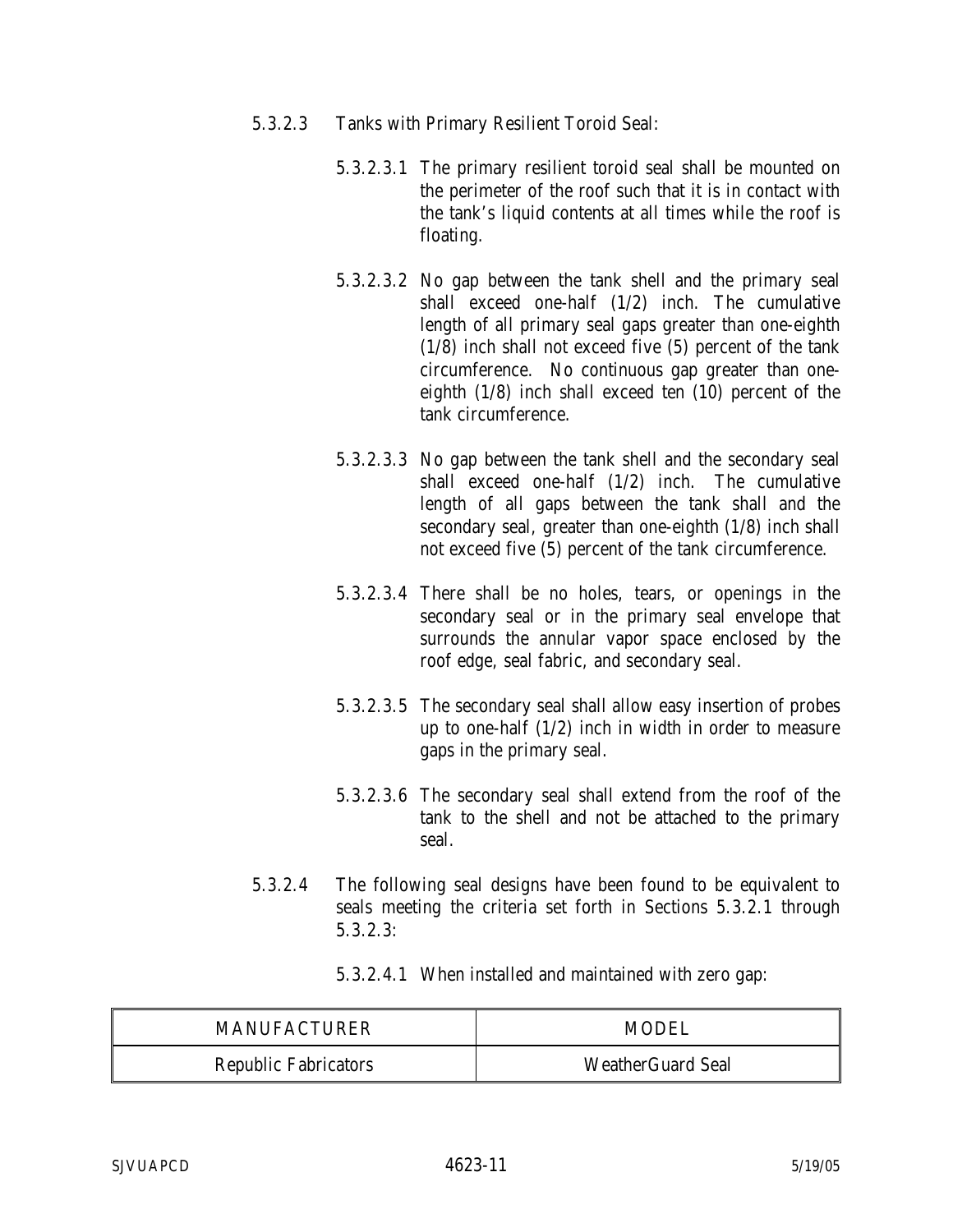- 5.3.2.3 Tanks with Primary Resilient Toroid Seal:
	- 5.3.2.3.1 The primary resilient toroid seal shall be mounted on the perimeter of the roof such that it is in contact with the tank's liquid contents at all times while the roof is floating.
	- 5.3.2.3.2 No gap between the tank shell and the primary seal shall exceed one-half (1/2) inch. The cumulative length of all primary seal gaps greater than one-eighth (1/8) inch shall not exceed five (5) percent of the tank circumference. No continuous gap greater than oneeighth (1/8) inch shall exceed ten (10) percent of the tank circumference.
	- 5.3.2.3.3 No gap between the tank shell and the secondary seal shall exceed one-half (1/2) inch. The cumulative length of all gaps between the tank shall and the secondary seal, greater than one-eighth (1/8) inch shall not exceed five (5) percent of the tank circumference.
	- 5.3.2.3.4 There shall be no holes, tears, or openings in the secondary seal or in the primary seal envelope that surrounds the annular vapor space enclosed by the roof edge, seal fabric, and secondary seal.
	- 5.3.2.3.5 The secondary seal shall allow easy insertion of probes up to one-half (1/2) inch in width in order to measure gaps in the primary seal.
	- 5.3.2.3.6 The secondary seal shall extend from the roof of the tank to the shell and not be attached to the primary seal.
- 5.3.2.4 The following seal designs have been found to be equivalent to seals meeting the criteria set forth in Sections 5.3.2.1 through 5.3.2.3:

5.3.2.4.1 When installed and maintained with zero gap:

| <b>MANUFACTURER</b>         | MODEL                    |
|-----------------------------|--------------------------|
| <b>Republic Fabricators</b> | <b>WeatherGuard Seal</b> |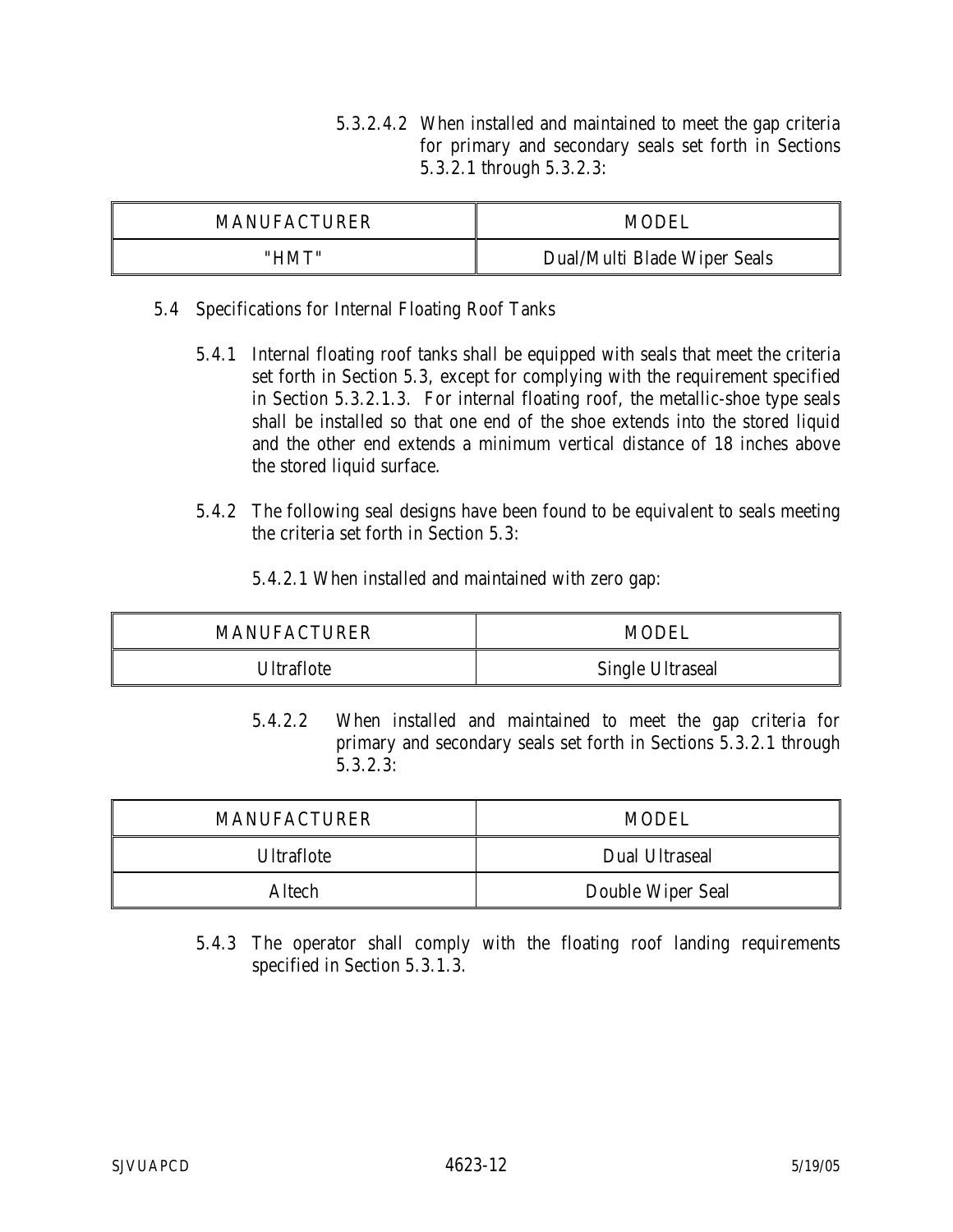5.3.2.4.2 When installed and maintained to meet the gap criteria for primary and secondary seals set forth in Sections 5.3.2.1 through 5.3.2.3:

| <b>MANUFACTURER</b> | MODEI                        |
|---------------------|------------------------------|
| "HMT"               | Dual/Multi Blade Wiper Seals |

- 5.4 Specifications for Internal Floating Roof Tanks
	- 5.4.1 Internal floating roof tanks shall be equipped with seals that meet the criteria set forth in Section 5.3, except for complying with the requirement specified in Section 5.3.2.1.3. For internal floating roof, the metallic-shoe type seals shall be installed so that one end of the shoe extends into the stored liquid and the other end extends a minimum vertical distance of 18 inches above the stored liquid surface.
	- 5.4.2 The following seal designs have been found to be equivalent to seals meeting the criteria set forth in Section 5.3:
		- 5.4.2.1 When installed and maintained with zero gap:

| MANUFACTURER | MODEL                   |
|--------------|-------------------------|
| Ultraflote   | <b>Single Ultraseal</b> |

5.4.2.2 When installed and maintained to meet the gap criteria for primary and secondary seals set forth in Sections 5.3.2.1 through 5.3.2.3:

| <b>MANUFACTURER</b> | MODEL             |  |
|---------------------|-------------------|--|
| <b>Ultraflote</b>   | Dual Ultraseal    |  |
| Altech              | Double Wiper Seal |  |

5.4.3 The operator shall comply with the floating roof landing requirements specified in Section 5.3.1.3.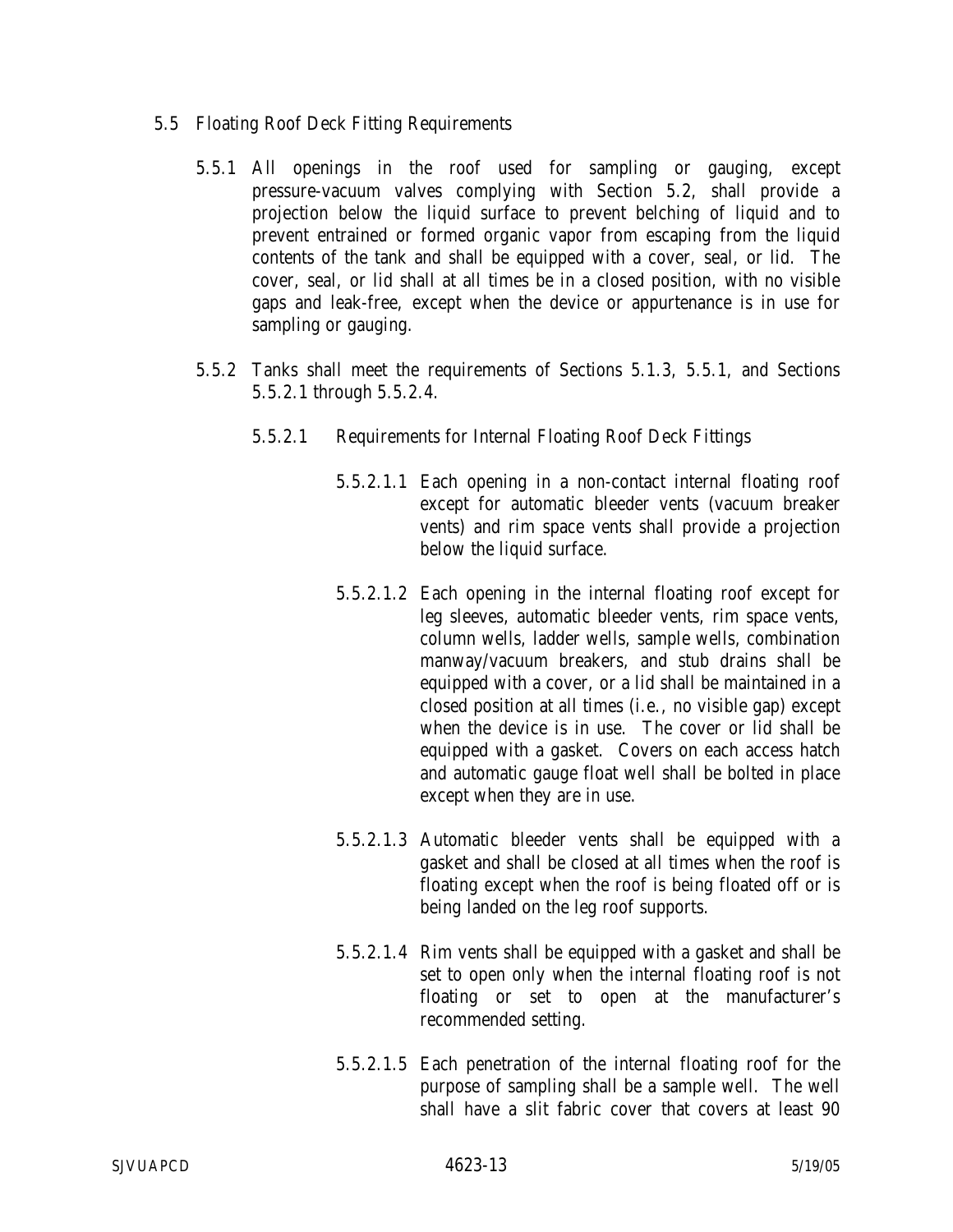- 5.5 Floating Roof Deck Fitting Requirements
	- 5.5.1 All openings in the roof used for sampling or gauging, except pressure-vacuum valves complying with Section 5.2, shall provide a projection below the liquid surface to prevent belching of liquid and to prevent entrained or formed organic vapor from escaping from the liquid contents of the tank and shall be equipped with a cover, seal, or lid. The cover, seal, or lid shall at all times be in a closed position, with no visible gaps and leak-free, except when the device or appurtenance is in use for sampling or gauging.
	- 5.5.2 Tanks shall meet the requirements of Sections 5.1.3, 5.5.1, and Sections 5.5.2.1 through 5.5.2.4.
		- 5.5.2.1 Requirements for Internal Floating Roof Deck Fittings
			- 5.5.2.1.1 Each opening in a non-contact internal floating roof except for automatic bleeder vents (vacuum breaker vents) and rim space vents shall provide a projection below the liquid surface.
			- 5.5.2.1.2 Each opening in the internal floating roof except for leg sleeves, automatic bleeder vents, rim space vents, column wells, ladder wells, sample wells, combination manway/vacuum breakers, and stub drains shall be equipped with a cover, or a lid shall be maintained in a closed position at all times (i.e., no visible gap) except when the device is in use. The cover or lid shall be equipped with a gasket. Covers on each access hatch and automatic gauge float well shall be bolted in place except when they are in use.
			- 5.5.2.1.3 Automatic bleeder vents shall be equipped with a gasket and shall be closed at all times when the roof is floating except when the roof is being floated off or is being landed on the leg roof supports.
			- 5.5.2.1.4 Rim vents shall be equipped with a gasket and shall be set to open only when the internal floating roof is not floating or set to open at the manufacturer's recommended setting.
			- 5.5.2.1.5 Each penetration of the internal floating roof for the purpose of sampling shall be a sample well. The well shall have a slit fabric cover that covers at least 90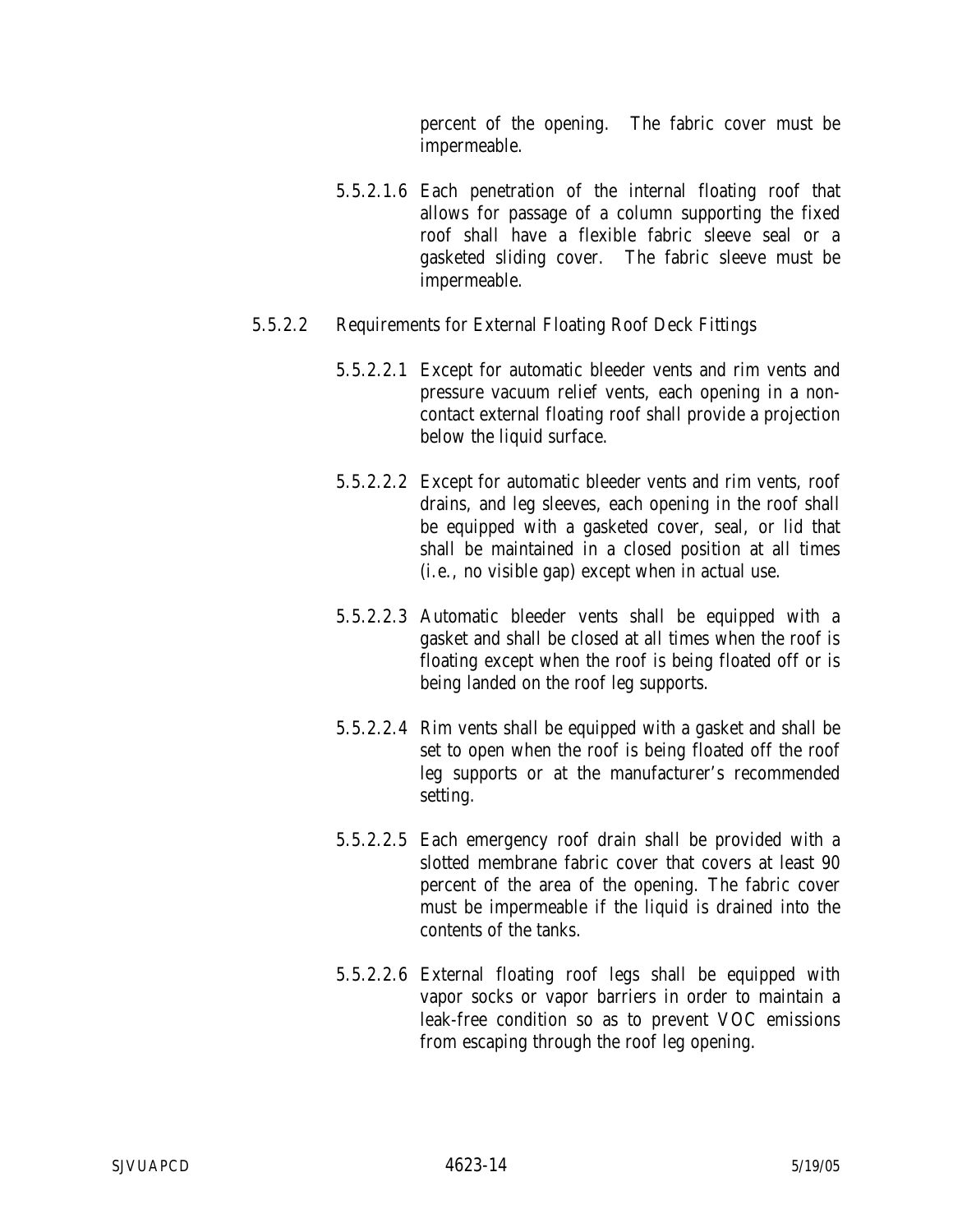percent of the opening. The fabric cover must be impermeable.

- 5.5.2.1.6 Each penetration of the internal floating roof that allows for passage of a column supporting the fixed roof shall have a flexible fabric sleeve seal or a gasketed sliding cover. The fabric sleeve must be impermeable.
- 5.5.2.2 Requirements for External Floating Roof Deck Fittings
	- 5.5.2.2.1 Except for automatic bleeder vents and rim vents and pressure vacuum relief vents, each opening in a noncontact external floating roof shall provide a projection below the liquid surface.
	- 5.5.2.2.2 Except for automatic bleeder vents and rim vents, roof drains, and leg sleeves, each opening in the roof shall be equipped with a gasketed cover, seal, or lid that shall be maintained in a closed position at all times (i.e., no visible gap) except when in actual use.
	- 5.5.2.2.3 Automatic bleeder vents shall be equipped with a gasket and shall be closed at all times when the roof is floating except when the roof is being floated off or is being landed on the roof leg supports.
	- 5.5.2.2.4 Rim vents shall be equipped with a gasket and shall be set to open when the roof is being floated off the roof leg supports or at the manufacturer's recommended setting.
	- 5.5.2.2.5 Each emergency roof drain shall be provided with a slotted membrane fabric cover that covers at least 90 percent of the area of the opening. The fabric cover must be impermeable if the liquid is drained into the contents of the tanks.
	- 5.5.2.2.6 External floating roof legs shall be equipped with vapor socks or vapor barriers in order to maintain a leak-free condition so as to prevent VOC emissions from escaping through the roof leg opening.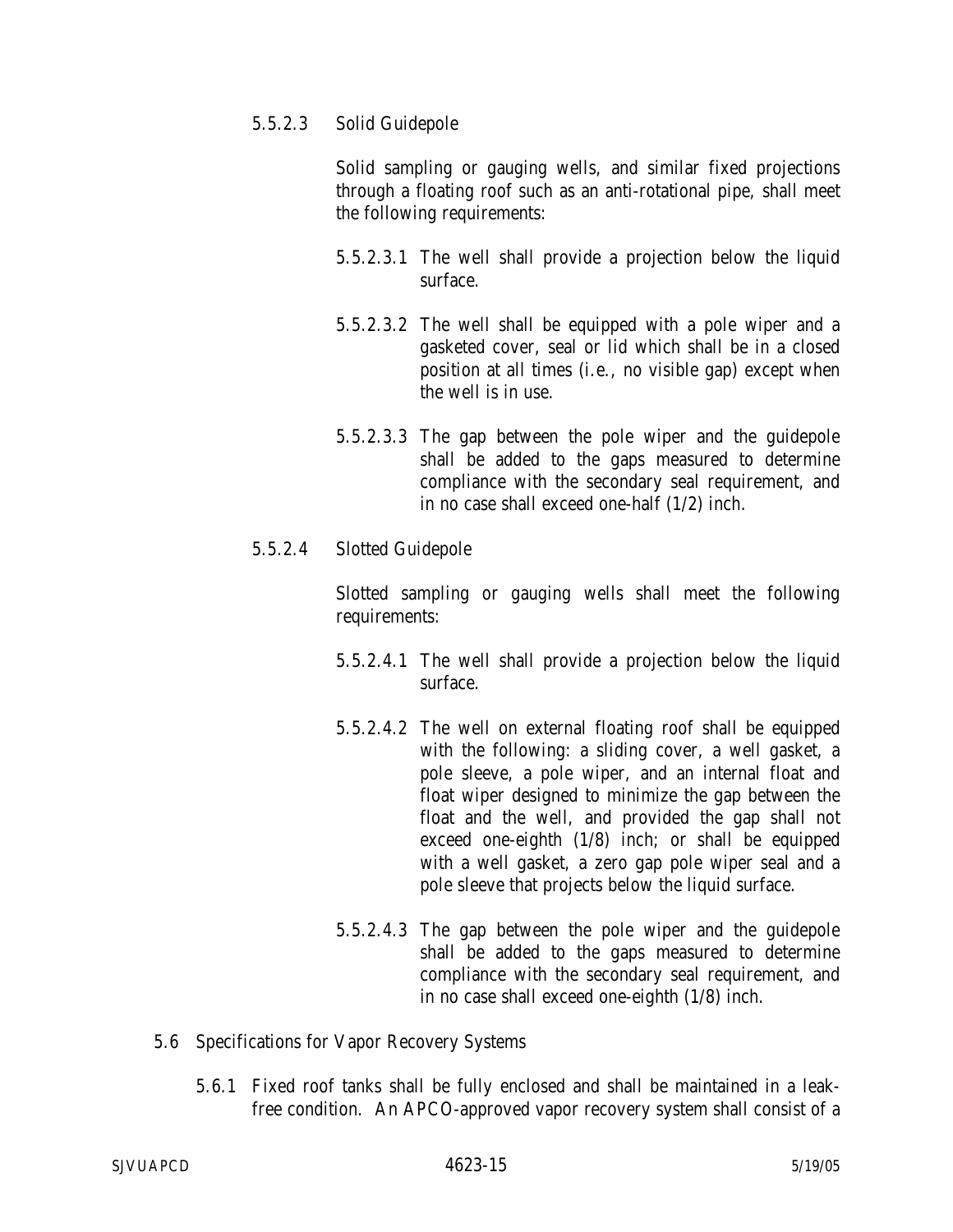5.5.2.3 Solid Guidepole

Solid sampling or gauging wells, and similar fixed projections through a floating roof such as an anti-rotational pipe, shall meet the following requirements:

- 5.5.2.3.1 The well shall provide a projection below the liquid surface.
- 5.5.2.3.2 The well shall be equipped with a pole wiper and a gasketed cover, seal or lid which shall be in a closed position at all times (i.e., no visible gap) except when the well is in use.
- 5.5.2.3.3 The gap between the pole wiper and the guidepole shall be added to the gaps measured to determine compliance with the secondary seal requirement, and in no case shall exceed one-half (1/2) inch.
- 5.5.2.4 Slotted Guidepole

Slotted sampling or gauging wells shall meet the following requirements:

- 5.5.2.4.1 The well shall provide a projection below the liquid surface.
- 5.5.2.4.2 The well on external floating roof shall be equipped with the following: a sliding cover, a well gasket, a pole sleeve, a pole wiper, and an internal float and float wiper designed to minimize the gap between the float and the well, and provided the gap shall not exceed one-eighth (1/8) inch; or shall be equipped with a well gasket, a zero gap pole wiper seal and a pole sleeve that projects below the liquid surface.
- 5.5.2.4.3 The gap between the pole wiper and the guidepole shall be added to the gaps measured to determine compliance with the secondary seal requirement, and in no case shall exceed one-eighth (1/8) inch.
- 5.6 Specifications for Vapor Recovery Systems
	- 5.6.1 Fixed roof tanks shall be fully enclosed and shall be maintained in a leakfree condition. An APCO-approved vapor recovery system shall consist of a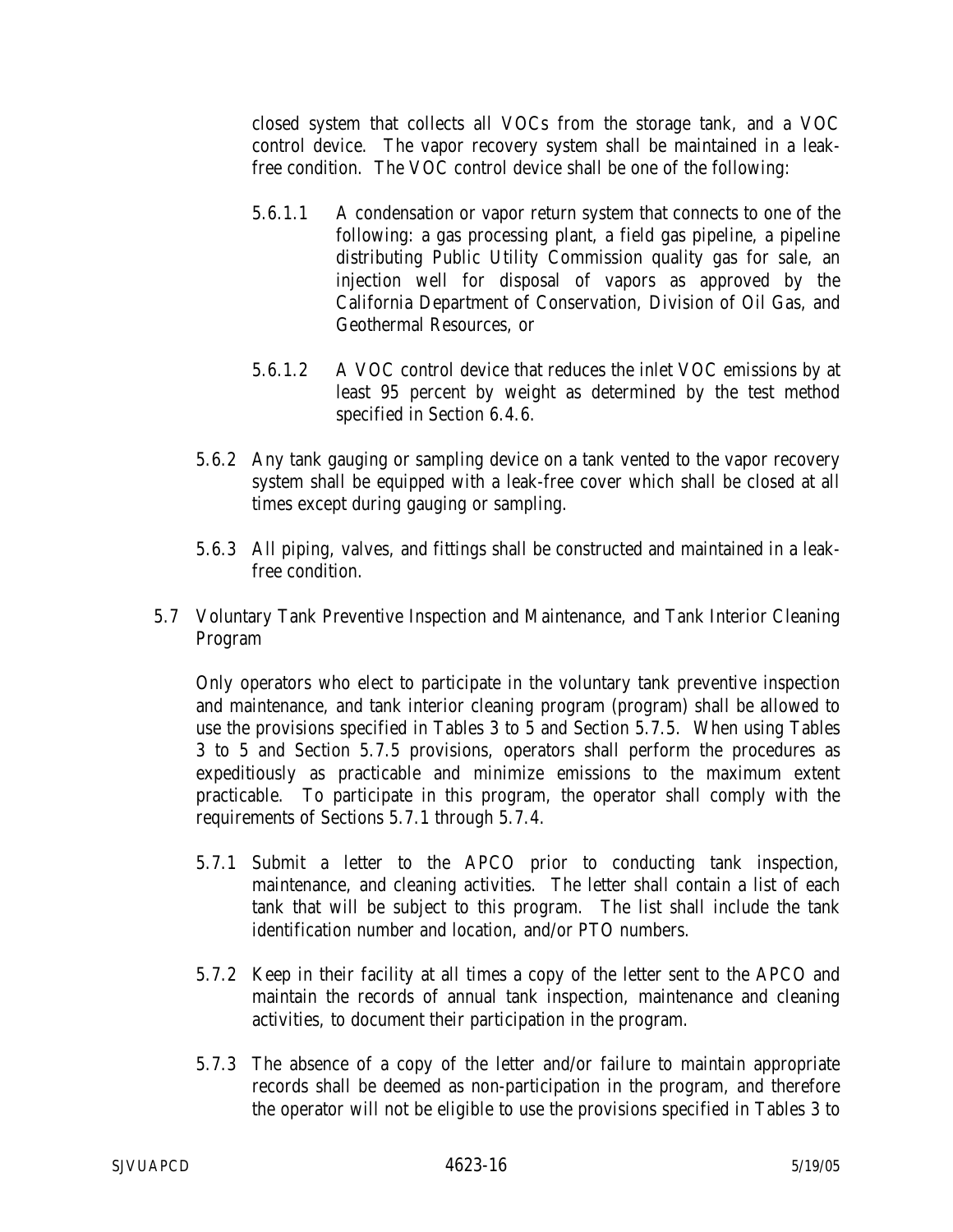closed system that collects all VOCs from the storage tank, and a VOC control device. The vapor recovery system shall be maintained in a leakfree condition. The VOC control device shall be one of the following:

- 5.6.1.1 A condensation or vapor return system that connects to one of the following: a gas processing plant, a field gas pipeline, a pipeline distributing Public Utility Commission quality gas for sale, an injection well for disposal of vapors as approved by the California Department of Conservation, Division of Oil Gas, and Geothermal Resources, or
- 5.6.1.2 A VOC control device that reduces the inlet VOC emissions by at least 95 percent by weight as determined by the test method specified in Section 6.4.6.
- 5.6.2 Any tank gauging or sampling device on a tank vented to the vapor recovery system shall be equipped with a leak-free cover which shall be closed at all times except during gauging or sampling.
- 5.6.3 All piping, valves, and fittings shall be constructed and maintained in a leakfree condition.
- 5.7 Voluntary Tank Preventive Inspection and Maintenance, and Tank Interior Cleaning Program

Only operators who elect to participate in the voluntary tank preventive inspection and maintenance, and tank interior cleaning program (program) shall be allowed to use the provisions specified in Tables 3 to 5 and Section 5.7.5. When using Tables 3 to 5 and Section 5.7.5 provisions, operators shall perform the procedures as expeditiously as practicable and minimize emissions to the maximum extent practicable. To participate in this program, the operator shall comply with the requirements of Sections 5.7.1 through 5.7.4.

- 5.7.1 Submit a letter to the APCO prior to conducting tank inspection, maintenance, and cleaning activities. The letter shall contain a list of each tank that will be subject to this program. The list shall include the tank identification number and location, and/or PTO numbers.
- 5.7.2 Keep in their facility at all times a copy of the letter sent to the APCO and maintain the records of annual tank inspection, maintenance and cleaning activities, to document their participation in the program.
- 5.7.3 The absence of a copy of the letter and/or failure to maintain appropriate records shall be deemed as non-participation in the program, and therefore the operator will not be eligible to use the provisions specified in Tables 3 to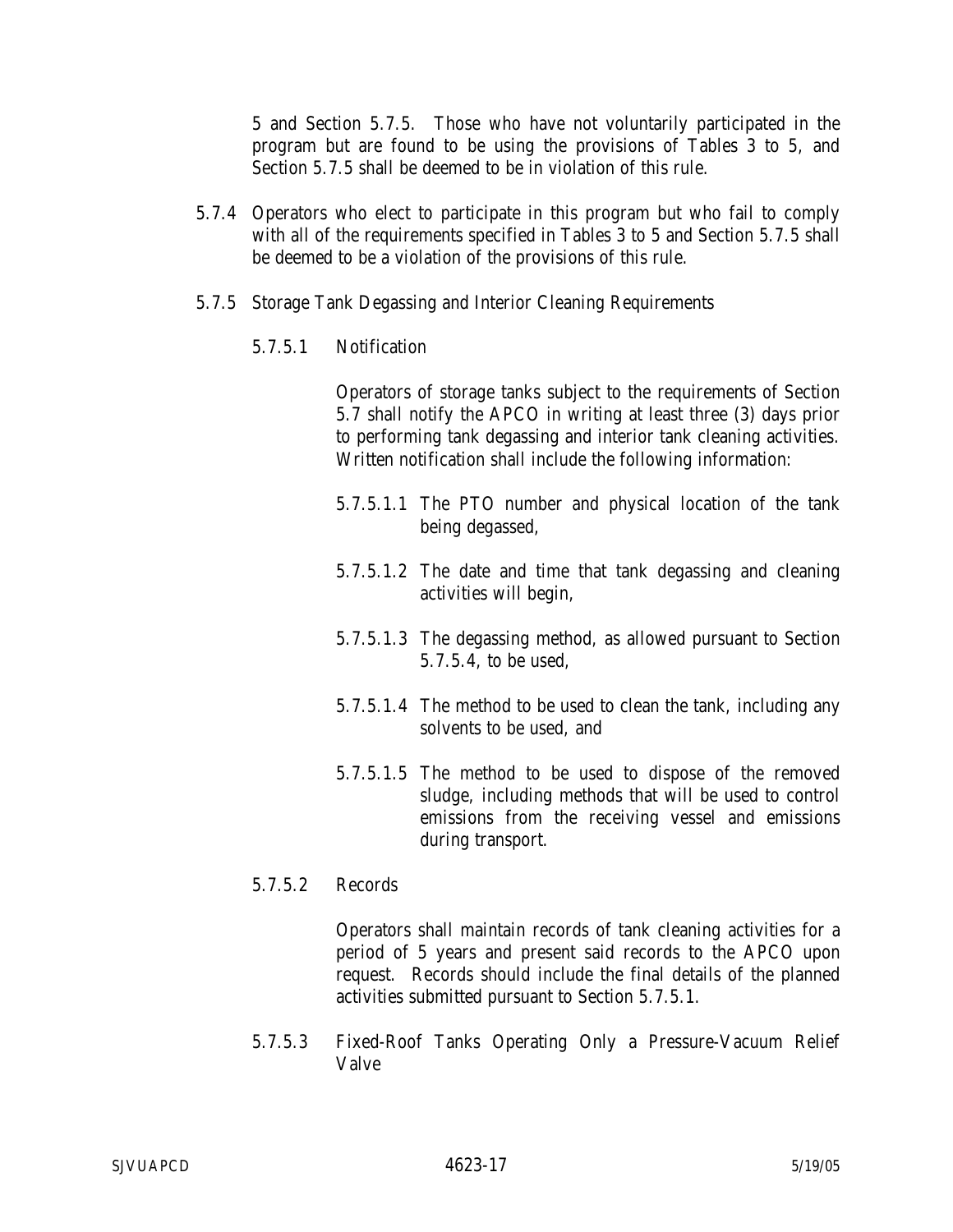5 and Section 5.7.5. Those who have not voluntarily participated in the program but are found to be using the provisions of Tables 3 to 5, and Section 5.7.5 shall be deemed to be in violation of this rule.

- 5.7.4 Operators who elect to participate in this program but who fail to comply with all of the requirements specified in Tables 3 to 5 and Section 5.7.5 shall be deemed to be a violation of the provisions of this rule.
- 5.7.5 Storage Tank Degassing and Interior Cleaning Requirements
	- 5.7.5.1 Notification

Operators of storage tanks subject to the requirements of Section 5.7 shall notify the APCO in writing at least three (3) days prior to performing tank degassing and interior tank cleaning activities. Written notification shall include the following information:

- 5.7.5.1.1 The PTO number and physical location of the tank being degassed,
- 5.7.5.1.2 The date and time that tank degassing and cleaning activities will begin,
- 5.7.5.1.3 The degassing method, as allowed pursuant to Section 5.7.5.4, to be used,
- 5.7.5.1.4 The method to be used to clean the tank, including any solvents to be used, and
- 5.7.5.1.5 The method to be used to dispose of the removed sludge, including methods that will be used to control emissions from the receiving vessel and emissions during transport.
- 5.7.5.2 Records

Operators shall maintain records of tank cleaning activities for a period of 5 years and present said records to the APCO upon request. Records should include the final details of the planned activities submitted pursuant to Section 5.7.5.1.

5.7.5.3 Fixed-Roof Tanks Operating Only a Pressure-Vacuum Relief Valve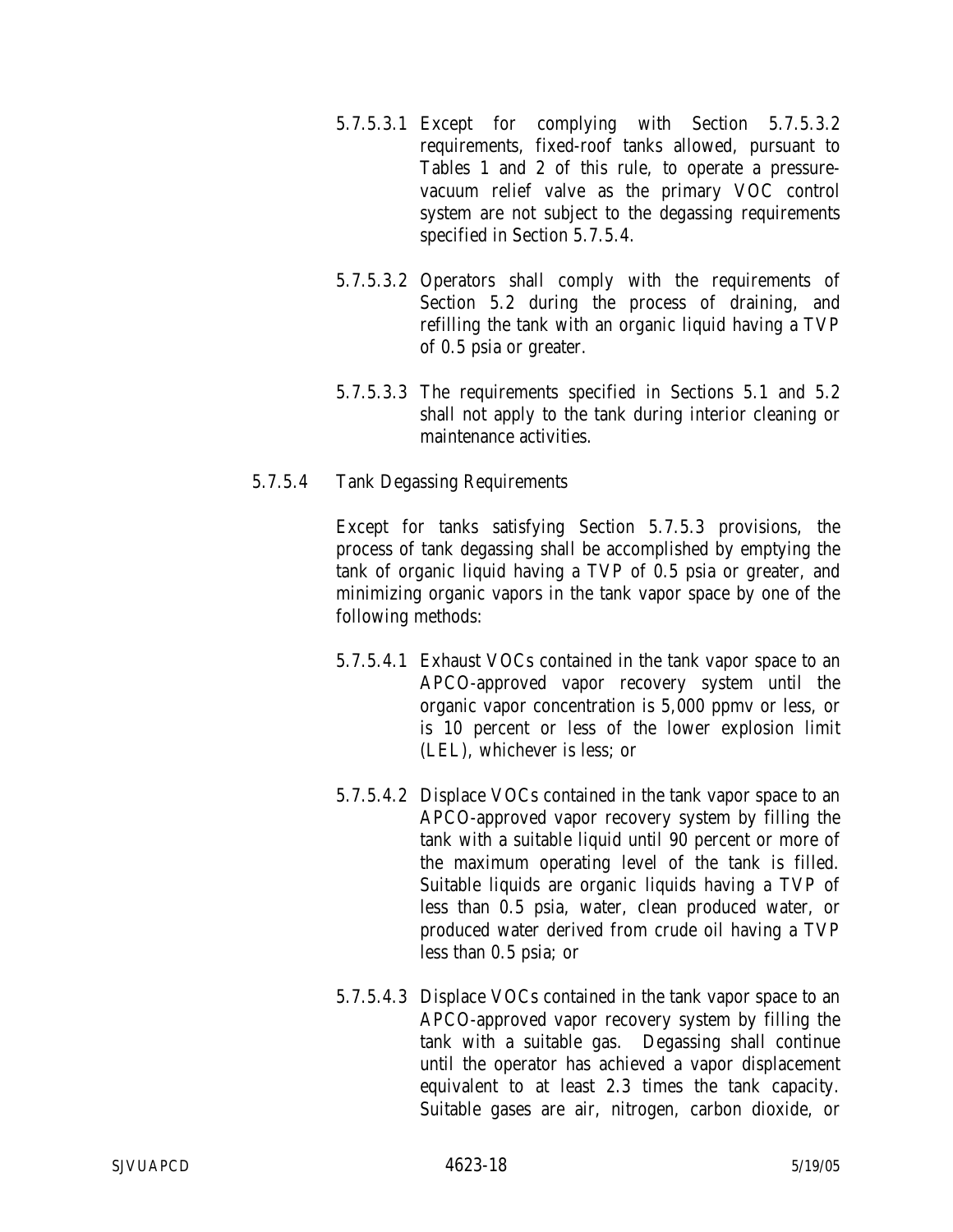- 5.7.5.3.1 Except for complying with Section 5.7.5.3.2 requirements, fixed-roof tanks allowed, pursuant to Tables 1 and 2 of this rule, to operate a pressurevacuum relief valve as the primary VOC control system are not subject to the degassing requirements specified in Section 5.7.5.4.
- 5.7.5.3.2 Operators shall comply with the requirements of Section 5.2 during the process of draining, and refilling the tank with an organic liquid having a TVP of 0.5 psia or greater.
- 5.7.5.3.3 The requirements specified in Sections 5.1 and 5.2 shall not apply to the tank during interior cleaning or maintenance activities.

### 5.7.5.4 Tank Degassing Requirements

Except for tanks satisfying Section 5.7.5.3 provisions, the process of tank degassing shall be accomplished by emptying the tank of organic liquid having a TVP of 0.5 psia or greater, and minimizing organic vapors in the tank vapor space by one of the following methods:

- 5.7.5.4.1 Exhaust VOCs contained in the tank vapor space to an APCO-approved vapor recovery system until the organic vapor concentration is 5,000 ppmv or less, or is 10 percent or less of the lower explosion limit (LEL), whichever is less; or
- 5.7.5.4.2 Displace VOCs contained in the tank vapor space to an APCO-approved vapor recovery system by filling the tank with a suitable liquid until 90 percent or more of the maximum operating level of the tank is filled. Suitable liquids are organic liquids having a TVP of less than 0.5 psia, water, clean produced water, or produced water derived from crude oil having a TVP less than 0.5 psia; or
- 5.7.5.4.3 Displace VOCs contained in the tank vapor space to an APCO-approved vapor recovery system by filling the tank with a suitable gas. Degassing shall continue until the operator has achieved a vapor displacement equivalent to at least 2.3 times the tank capacity. Suitable gases are air, nitrogen, carbon dioxide, or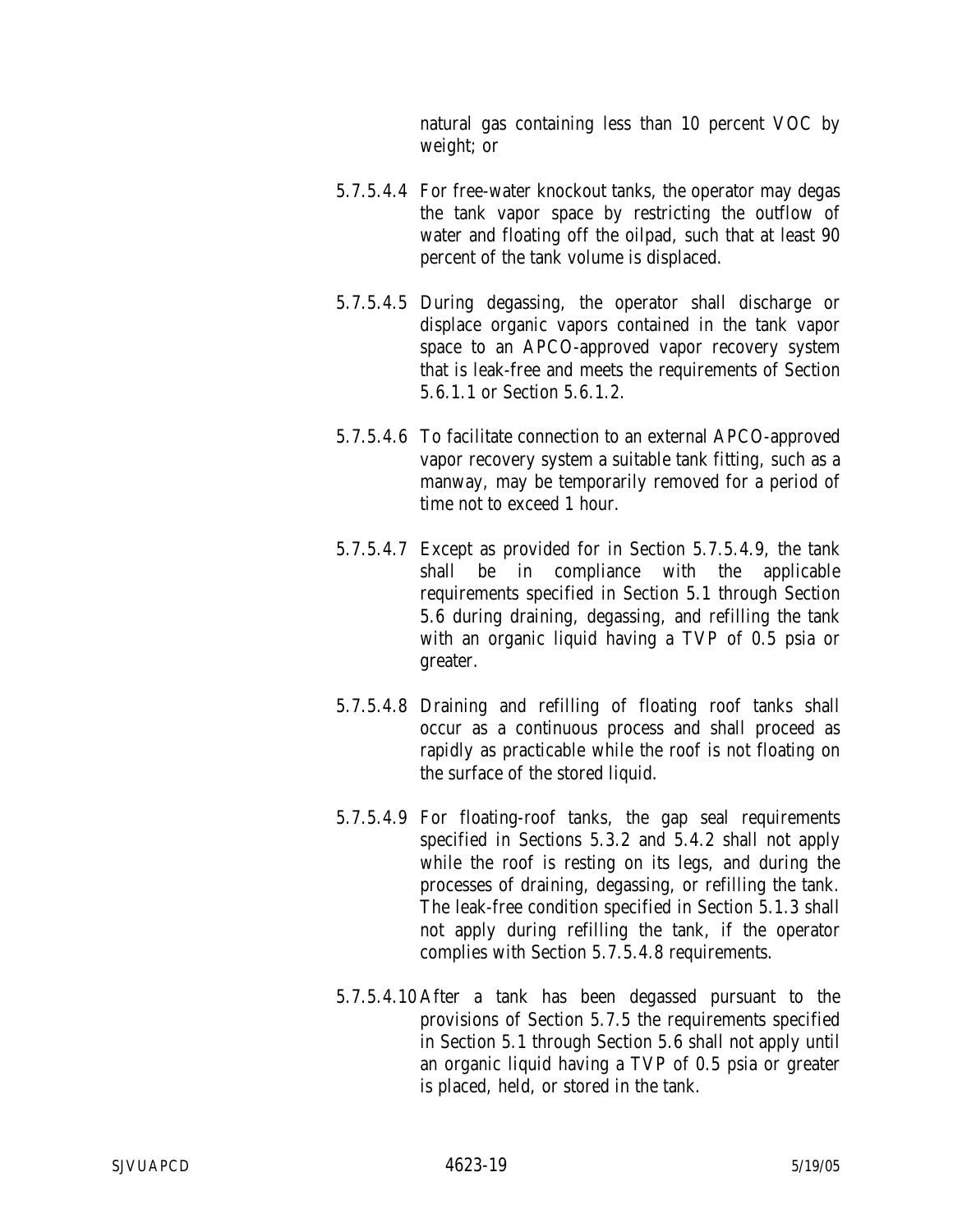natural gas containing less than 10 percent VOC by weight; or

- 5.7.5.4.4 For free-water knockout tanks, the operator may degas the tank vapor space by restricting the outflow of water and floating off the oilpad, such that at least 90 percent of the tank volume is displaced.
- 5.7.5.4.5 During degassing, the operator shall discharge or displace organic vapors contained in the tank vapor space to an APCO-approved vapor recovery system that is leak-free and meets the requirements of Section 5.6.1.1 or Section 5.6.1.2.
- 5.7.5.4.6 To facilitate connection to an external APCO-approved vapor recovery system a suitable tank fitting, such as a manway, may be temporarily removed for a period of time not to exceed 1 hour.
- 5.7.5.4.7 Except as provided for in Section 5.7.5.4.9, the tank shall be in compliance with the applicable requirements specified in Section 5.1 through Section 5.6 during draining, degassing, and refilling the tank with an organic liquid having a TVP of 0.5 psia or greater.
- 5.7.5.4.8 Draining and refilling of floating roof tanks shall occur as a continuous process and shall proceed as rapidly as practicable while the roof is not floating on the surface of the stored liquid.
- 5.7.5.4.9 For floating-roof tanks, the gap seal requirements specified in Sections 5.3.2 and 5.4.2 shall not apply while the roof is resting on its legs, and during the processes of draining, degassing, or refilling the tank. The leak-free condition specified in Section 5.1.3 shall not apply during refilling the tank, if the operator complies with Section 5.7.5.4.8 requirements.
- 5.7.5.4.10 After a tank has been degassed pursuant to the provisions of Section 5.7.5 the requirements specified in Section 5.1 through Section 5.6 shall not apply until an organic liquid having a TVP of 0.5 psia or greater is placed, held, or stored in the tank.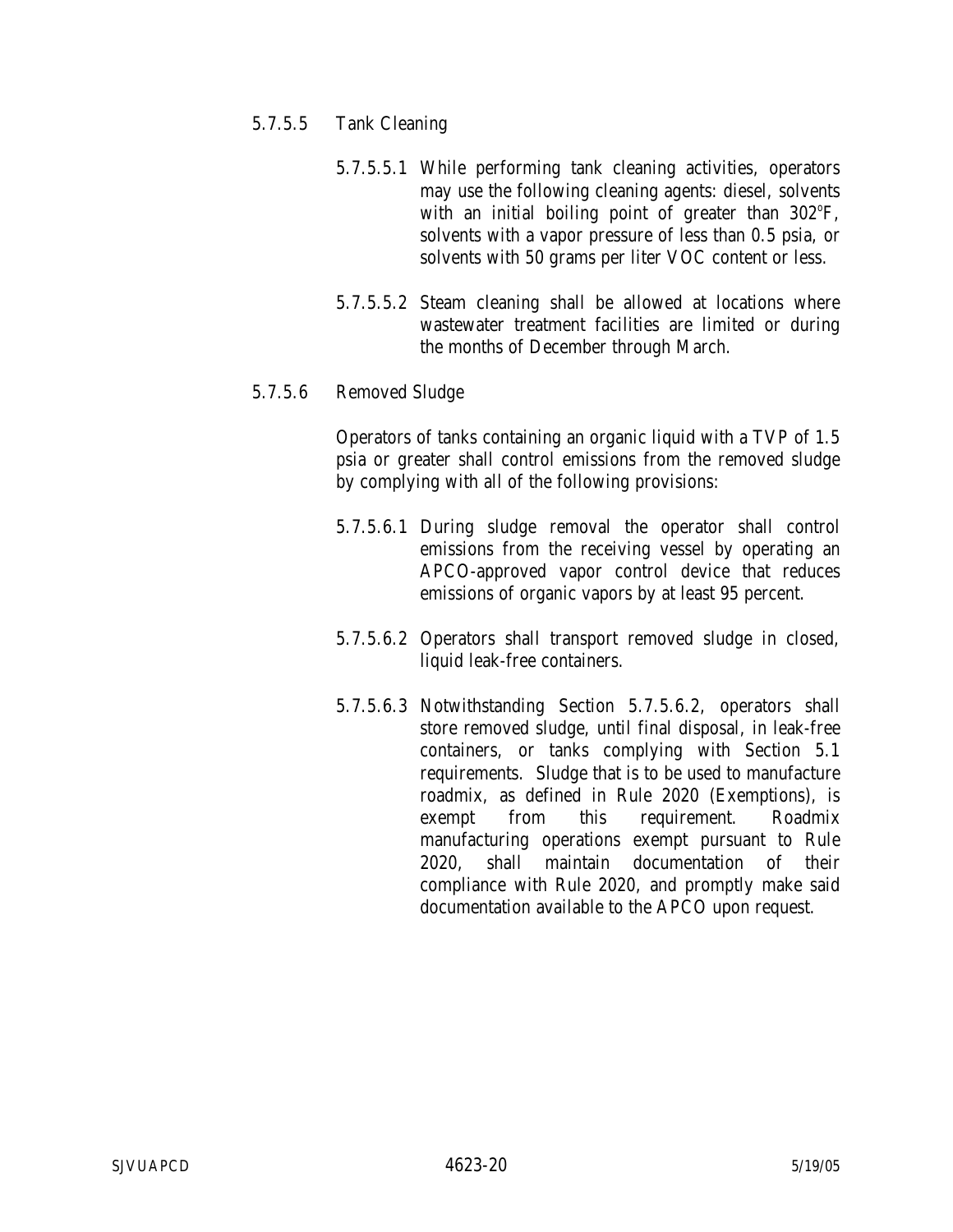### 5.7.5.5 Tank Cleaning

- 5.7.5.5.1 While performing tank cleaning activities, operators may use the following cleaning agents: diesel, solvents with an initial boiling point of greater than  $302^{\circ}F$ , solvents with a vapor pressure of less than 0.5 psia, or solvents with 50 grams per liter VOC content or less.
- 5.7.5.5.2 Steam cleaning shall be allowed at locations where wastewater treatment facilities are limited or during the months of December through March.

### 5.7.5.6 Removed Sludge

Operators of tanks containing an organic liquid with a TVP of 1.5 psia or greater shall control emissions from the removed sludge by complying with all of the following provisions:

- 5.7.5.6.1 During sludge removal the operator shall control emissions from the receiving vessel by operating an APCO-approved vapor control device that reduces emissions of organic vapors by at least 95 percent.
- 5.7.5.6.2 Operators shall transport removed sludge in closed, liquid leak-free containers.
- 5.7.5.6.3 Notwithstanding Section 5.7.5.6.2, operators shall store removed sludge, until final disposal, in leak-free containers, or tanks complying with Section 5.1 requirements. Sludge that is to be used to manufacture roadmix, as defined in Rule 2020 (Exemptions), is exempt from this requirement. Roadmix manufacturing operations exempt pursuant to Rule 2020, shall maintain documentation of their compliance with Rule 2020, and promptly make said documentation available to the APCO upon request.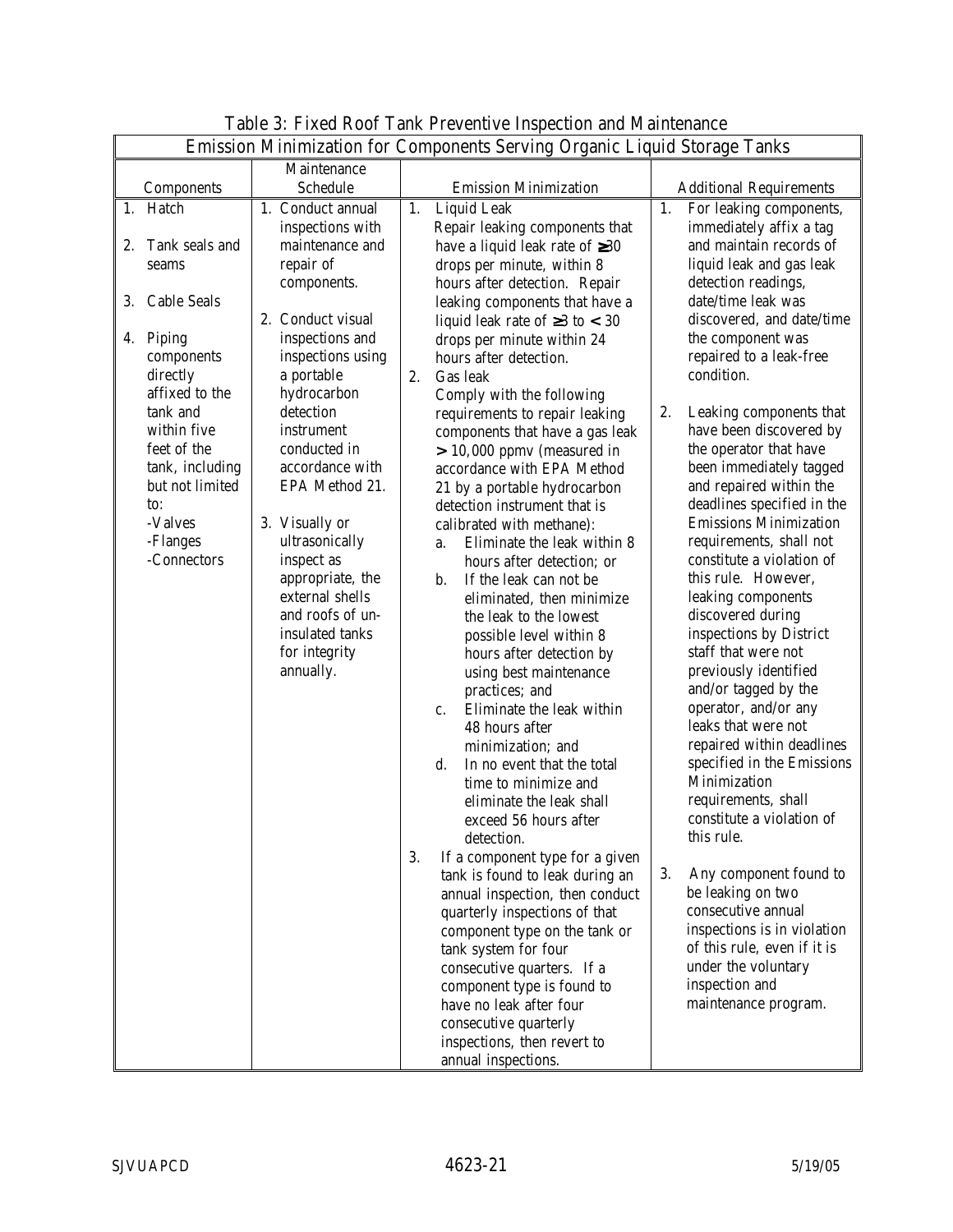|                                                                                                                                                                       |                                                                                                                                                                                                                                                                                              | Emission Minimization for Components Serving Organic Liquid Storage Tanks                                                                                                                                                                                                                                                                                                                                                                                                                                                                                                                                                                                                                                                                                                                                                                                                                                                                                                                                                                                                                                                                                 |                                                                                                                                                                                                                                                                                                                                                                                                                                                                                                                                                                                                                                                                                                                                                                                                                                                                                     |
|-----------------------------------------------------------------------------------------------------------------------------------------------------------------------|----------------------------------------------------------------------------------------------------------------------------------------------------------------------------------------------------------------------------------------------------------------------------------------------|-----------------------------------------------------------------------------------------------------------------------------------------------------------------------------------------------------------------------------------------------------------------------------------------------------------------------------------------------------------------------------------------------------------------------------------------------------------------------------------------------------------------------------------------------------------------------------------------------------------------------------------------------------------------------------------------------------------------------------------------------------------------------------------------------------------------------------------------------------------------------------------------------------------------------------------------------------------------------------------------------------------------------------------------------------------------------------------------------------------------------------------------------------------|-------------------------------------------------------------------------------------------------------------------------------------------------------------------------------------------------------------------------------------------------------------------------------------------------------------------------------------------------------------------------------------------------------------------------------------------------------------------------------------------------------------------------------------------------------------------------------------------------------------------------------------------------------------------------------------------------------------------------------------------------------------------------------------------------------------------------------------------------------------------------------------|
|                                                                                                                                                                       | Maintenance                                                                                                                                                                                                                                                                                  |                                                                                                                                                                                                                                                                                                                                                                                                                                                                                                                                                                                                                                                                                                                                                                                                                                                                                                                                                                                                                                                                                                                                                           |                                                                                                                                                                                                                                                                                                                                                                                                                                                                                                                                                                                                                                                                                                                                                                                                                                                                                     |
| Components                                                                                                                                                            | Schedule                                                                                                                                                                                                                                                                                     | <b>Emission Minimization</b>                                                                                                                                                                                                                                                                                                                                                                                                                                                                                                                                                                                                                                                                                                                                                                                                                                                                                                                                                                                                                                                                                                                              | <b>Additional Requirements</b>                                                                                                                                                                                                                                                                                                                                                                                                                                                                                                                                                                                                                                                                                                                                                                                                                                                      |
| 1. Hatch<br>Tank seals and<br>2.<br>seams<br>3.<br><b>Cable Seals</b><br>4. Piping                                                                                    | 1. Conduct annual<br>inspections with<br>maintenance and<br>repair of<br>components.<br>2. Conduct visual<br>inspections and                                                                                                                                                                 | Liquid Leak<br>1.<br>Repair leaking components that<br>have a liquid leak rate of $\geq 30$<br>drops per minute, within 8<br>hours after detection. Repair<br>leaking components that have a<br>liquid leak rate of $\geq 3$ to < 30<br>drops per minute within 24                                                                                                                                                                                                                                                                                                                                                                                                                                                                                                                                                                                                                                                                                                                                                                                                                                                                                        | 1.<br>For leaking components,<br>immediately affix a tag<br>and maintain records of<br>liquid leak and gas leak<br>detection readings,<br>date/time leak was<br>discovered, and date/time<br>the component was                                                                                                                                                                                                                                                                                                                                                                                                                                                                                                                                                                                                                                                                      |
| components<br>directly<br>affixed to the<br>tank and<br>within five<br>feet of the<br>tank, including<br>but not limited<br>to:<br>-Valves<br>-Flanges<br>-Connectors | inspections using<br>a portable<br>hydrocarbon<br>detection<br>instrument<br>conducted in<br>accordance with<br>EPA Method 21.<br>3. Visually or<br>ultrasonically<br>inspect as<br>appropriate, the<br>external shells<br>and roofs of un-<br>insulated tanks<br>for integrity<br>annually. | hours after detection.<br>2.<br>Gas leak<br>Comply with the following<br>requirements to repair leaking<br>components that have a gas leak<br>$> 10,000$ ppmv (measured in<br>accordance with EPA Method<br>21 by a portable hydrocarbon<br>detection instrument that is<br>calibrated with methane):<br>Eliminate the leak within 8<br>a.<br>hours after detection; or<br>If the leak can not be<br>b.<br>eliminated, then minimize<br>the leak to the lowest<br>possible level within 8<br>hours after detection by<br>using best maintenance<br>practices; and<br>Eliminate the leak within<br>c.<br>48 hours after<br>minimization; and<br>In no event that the total<br>d.<br>time to minimize and<br>eliminate the leak shall<br>exceed 56 hours after<br>detection.<br>3.<br>If a component type for a given<br>tank is found to leak during an<br>annual inspection, then conduct<br>quarterly inspections of that<br>component type on the tank or<br>tank system for four<br>consecutive quarters. If a<br>component type is found to<br>have no leak after four<br>consecutive quarterly<br>inspections, then revert to<br>annual inspections. | repaired to a leak-free<br>condition.<br>2.<br>Leaking components that<br>have been discovered by<br>the operator that have<br>been immediately tagged<br>and repaired within the<br>deadlines specified in the<br><b>Emissions Minimization</b><br>requirements, shall not<br>constitute a violation of<br>this rule. However,<br>leaking components<br>discovered during<br>inspections by District<br>staff that were not<br>previously identified<br>and/or tagged by the<br>operator, and/or any<br>leaks that were not<br>repaired within deadlines<br>specified in the Emissions<br>Minimization<br>requirements, shall<br>constitute a violation of<br>this rule.<br>3.<br>Any component found to<br>be leaking on two<br>consecutive annual<br>inspections is in violation<br>of this rule, even if it is<br>under the voluntary<br>inspection and<br>maintenance program. |

# Table 3: Fixed Roof Tank Preventive Inspection and Maintenance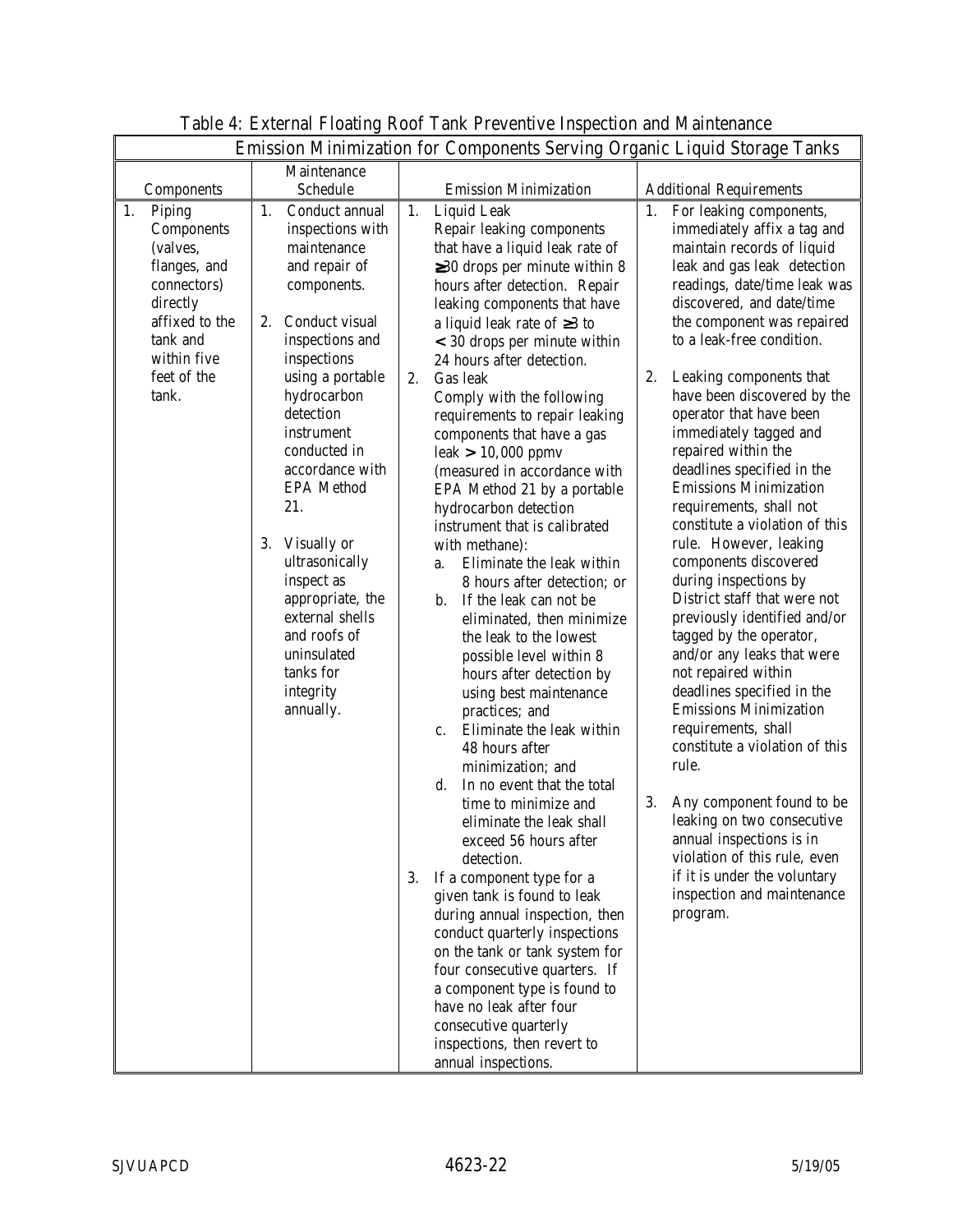| Emission Minimization for Components Serving Organic Liquid Storage Tanks                                                                              |                                                                                                                                                                                                                                                                                                                                                                                                                                            |                                                                                                                                                                                                                                                                                                                                                                                                                                                                                                                                                                                                                                                                                                                                                                                                                                                                                                                                                                                                                                                                                                                                                                                                                                                                                                                                                                                                                                 |                                                                                                                                                                                                                                                                                                                                                                                                                                                                                                                                                                                                                                                                                                                                                                                                                                                                                                                                                                                                                                                                                               |
|--------------------------------------------------------------------------------------------------------------------------------------------------------|--------------------------------------------------------------------------------------------------------------------------------------------------------------------------------------------------------------------------------------------------------------------------------------------------------------------------------------------------------------------------------------------------------------------------------------------|---------------------------------------------------------------------------------------------------------------------------------------------------------------------------------------------------------------------------------------------------------------------------------------------------------------------------------------------------------------------------------------------------------------------------------------------------------------------------------------------------------------------------------------------------------------------------------------------------------------------------------------------------------------------------------------------------------------------------------------------------------------------------------------------------------------------------------------------------------------------------------------------------------------------------------------------------------------------------------------------------------------------------------------------------------------------------------------------------------------------------------------------------------------------------------------------------------------------------------------------------------------------------------------------------------------------------------------------------------------------------------------------------------------------------------|-----------------------------------------------------------------------------------------------------------------------------------------------------------------------------------------------------------------------------------------------------------------------------------------------------------------------------------------------------------------------------------------------------------------------------------------------------------------------------------------------------------------------------------------------------------------------------------------------------------------------------------------------------------------------------------------------------------------------------------------------------------------------------------------------------------------------------------------------------------------------------------------------------------------------------------------------------------------------------------------------------------------------------------------------------------------------------------------------|
| Components                                                                                                                                             | Maintenance<br>Schedule                                                                                                                                                                                                                                                                                                                                                                                                                    | <b>Emission Minimization</b>                                                                                                                                                                                                                                                                                                                                                                                                                                                                                                                                                                                                                                                                                                                                                                                                                                                                                                                                                                                                                                                                                                                                                                                                                                                                                                                                                                                                    | <b>Additional Requirements</b>                                                                                                                                                                                                                                                                                                                                                                                                                                                                                                                                                                                                                                                                                                                                                                                                                                                                                                                                                                                                                                                                |
| 1.<br>Piping<br>Components<br>(valves,<br>flanges, and<br>connectors)<br>directly<br>affixed to the<br>tank and<br>within five<br>feet of the<br>tank. | Conduct annual<br>1.<br>inspections with<br>maintenance<br>and repair of<br>components.<br>2. Conduct visual<br>inspections and<br>inspections<br>using a portable<br>hydrocarbon<br>detection<br>instrument<br>conducted in<br>accordance with<br><b>EPA</b> Method<br>21.<br>3. Visually or<br>ultrasonically<br>inspect as<br>appropriate, the<br>external shells<br>and roofs of<br>uninsulated<br>tanks for<br>integrity<br>annually. | <b>Liquid Leak</b><br>1.<br>Repair leaking components<br>that have a liquid leak rate of<br>$\geq$ 30 drops per minute within 8<br>hours after detection. Repair<br>leaking components that have<br>a liquid leak rate of $\geq 3$ to<br>$<$ 30 drops per minute within<br>24 hours after detection.<br>2.<br>Gas leak<br>Comply with the following<br>requirements to repair leaking<br>components that have a gas<br>$leak > 10,000$ ppmv<br>(measured in accordance with<br>EPA Method 21 by a portable<br>hydrocarbon detection<br>instrument that is calibrated<br>with methane):<br>Eliminate the leak within<br>a.<br>8 hours after detection; or<br>If the leak can not be<br>b.<br>eliminated, then minimize<br>the leak to the lowest<br>possible level within 8<br>hours after detection by<br>using best maintenance<br>practices; and<br>Eliminate the leak within<br>$c_{\cdot}$<br>48 hours after<br>minimization; and<br>$d_{\cdot}$<br>In no event that the total<br>time to minimize and<br>eliminate the leak shall<br>exceed 56 hours after<br>detection.<br>3.<br>If a component type for a<br>given tank is found to leak<br>during annual inspection, then<br>conduct quarterly inspections<br>on the tank or tank system for<br>four consecutive quarters. If<br>a component type is found to<br>have no leak after four<br>consecutive quarterly<br>inspections, then revert to<br>annual inspections. | For leaking components,<br>1.<br>immediately affix a tag and<br>maintain records of liquid<br>leak and gas leak detection<br>readings, date/time leak was<br>discovered, and date/time<br>the component was repaired<br>to a leak-free condition.<br>2.<br>Leaking components that<br>have been discovered by the<br>operator that have been<br>immediately tagged and<br>repaired within the<br>deadlines specified in the<br><b>Emissions Minimization</b><br>requirements, shall not<br>constitute a violation of this<br>rule. However, leaking<br>components discovered<br>during inspections by<br>District staff that were not<br>previously identified and/or<br>tagged by the operator,<br>and/or any leaks that were<br>not repaired within<br>deadlines specified in the<br><b>Emissions Minimization</b><br>requirements, shall<br>constitute a violation of this<br>rule.<br>Any component found to be<br>3.<br>leaking on two consecutive<br>annual inspections is in<br>violation of this rule, even<br>if it is under the voluntary<br>inspection and maintenance<br>program. |

## Table 4: External Floating Roof Tank Preventive Inspection and Maintenance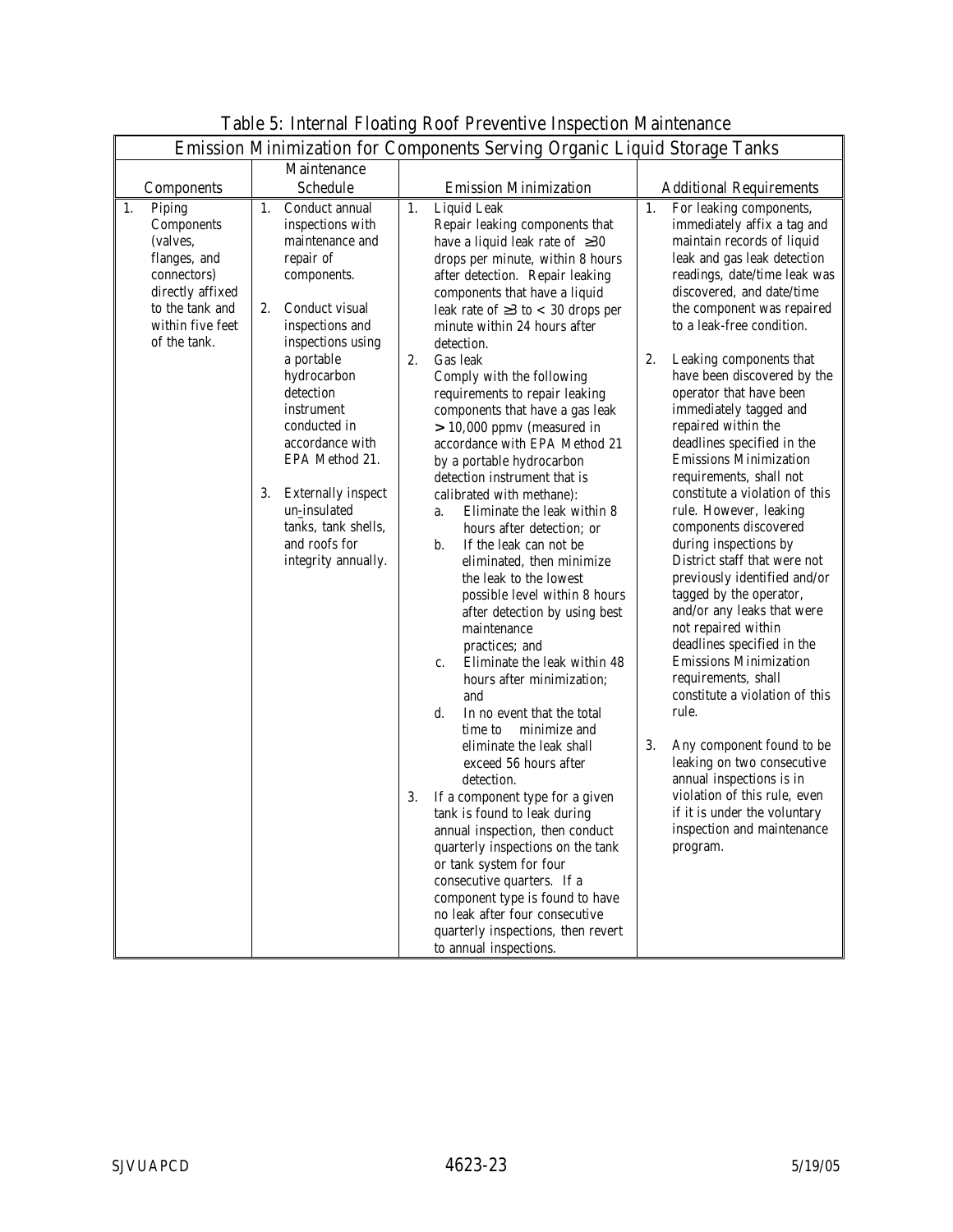|                                                                                                                                                  |                                                                                                                                                                                                                                                                                                                                                                                        | Emission Minimization for Components Serving Organic Liquid Storage Tanks                                                                                                                                                                                                                                                                                                                                                                                                                                                                                                                                                                                                                                                                                                                                                                                                                                                                                                                                                                                                                                                                                                                                                                                                                                                                                                                                   |                                                                                                                                                                                                                                                                                                                                                                                                                                                                                                                                                                                                                                                                                                                                                                                                                                                                                                                                                                                                                                                                                               |
|--------------------------------------------------------------------------------------------------------------------------------------------------|----------------------------------------------------------------------------------------------------------------------------------------------------------------------------------------------------------------------------------------------------------------------------------------------------------------------------------------------------------------------------------------|-------------------------------------------------------------------------------------------------------------------------------------------------------------------------------------------------------------------------------------------------------------------------------------------------------------------------------------------------------------------------------------------------------------------------------------------------------------------------------------------------------------------------------------------------------------------------------------------------------------------------------------------------------------------------------------------------------------------------------------------------------------------------------------------------------------------------------------------------------------------------------------------------------------------------------------------------------------------------------------------------------------------------------------------------------------------------------------------------------------------------------------------------------------------------------------------------------------------------------------------------------------------------------------------------------------------------------------------------------------------------------------------------------------|-----------------------------------------------------------------------------------------------------------------------------------------------------------------------------------------------------------------------------------------------------------------------------------------------------------------------------------------------------------------------------------------------------------------------------------------------------------------------------------------------------------------------------------------------------------------------------------------------------------------------------------------------------------------------------------------------------------------------------------------------------------------------------------------------------------------------------------------------------------------------------------------------------------------------------------------------------------------------------------------------------------------------------------------------------------------------------------------------|
|                                                                                                                                                  | Maintenance                                                                                                                                                                                                                                                                                                                                                                            |                                                                                                                                                                                                                                                                                                                                                                                                                                                                                                                                                                                                                                                                                                                                                                                                                                                                                                                                                                                                                                                                                                                                                                                                                                                                                                                                                                                                             |                                                                                                                                                                                                                                                                                                                                                                                                                                                                                                                                                                                                                                                                                                                                                                                                                                                                                                                                                                                                                                                                                               |
| Components                                                                                                                                       | <b>Schedule</b>                                                                                                                                                                                                                                                                                                                                                                        | <b>Emission Minimization</b>                                                                                                                                                                                                                                                                                                                                                                                                                                                                                                                                                                                                                                                                                                                                                                                                                                                                                                                                                                                                                                                                                                                                                                                                                                                                                                                                                                                | <b>Additional Requirements</b>                                                                                                                                                                                                                                                                                                                                                                                                                                                                                                                                                                                                                                                                                                                                                                                                                                                                                                                                                                                                                                                                |
| 1.<br>Piping<br>Components<br>(valves,<br>flanges, and<br>connectors)<br>directly affixed<br>to the tank and<br>within five feet<br>of the tank. | Conduct annual<br>1.<br>inspections with<br>maintenance and<br>repair of<br>components.<br>2.<br>Conduct visual<br>inspections and<br>inspections using<br>a portable<br>hydrocarbon<br>detection<br>instrument<br>conducted in<br>accordance with<br>EPA Method 21.<br><b>Externally inspect</b><br>3.<br>un-insulated<br>tanks, tank shells,<br>and roofs for<br>integrity annually. | 1.<br>Liquid Leak<br>Repair leaking components that<br>have a liquid leak rate of $\geq 30$<br>drops per minute, within 8 hours<br>after detection. Repair leaking<br>components that have a liquid<br>leak rate of $\geq$ 3 to < 30 drops per<br>minute within 24 hours after<br>detection.<br>2.<br>Gas leak<br>Comply with the following<br>requirements to repair leaking<br>components that have a gas leak<br>$> 10,000$ ppmv (measured in<br>accordance with EPA Method 21<br>by a portable hydrocarbon<br>detection instrument that is<br>calibrated with methane):<br>Eliminate the leak within 8<br>a.<br>hours after detection; or<br>b.<br>If the leak can not be<br>eliminated, then minimize<br>the leak to the lowest<br>possible level within 8 hours<br>after detection by using best<br>maintenance<br>practices; and<br>Eliminate the leak within 48<br>$c_{\cdot}$<br>hours after minimization;<br>and<br>d.<br>In no event that the total<br>minimize and<br>time to<br>eliminate the leak shall<br>exceed 56 hours after<br>detection.<br>If a component type for a given<br>3.<br>tank is found to leak during<br>annual inspection, then conduct<br>quarterly inspections on the tank<br>or tank system for four<br>consecutive quarters. If a<br>component type is found to have<br>no leak after four consecutive<br>quarterly inspections, then revert<br>to annual inspections. | 1.<br>For leaking components,<br>immediately affix a tag and<br>maintain records of liquid<br>leak and gas leak detection<br>readings, date/time leak was<br>discovered, and date/time<br>the component was repaired<br>to a leak-free condition.<br>2.<br>Leaking components that<br>have been discovered by the<br>operator that have been<br>immediately tagged and<br>repaired within the<br>deadlines specified in the<br><b>Emissions Minimization</b><br>requirements, shall not<br>constitute a violation of this<br>rule. However, leaking<br>components discovered<br>during inspections by<br>District staff that were not<br>previously identified and/or<br>tagged by the operator,<br>and/or any leaks that were<br>not repaired within<br>deadlines specified in the<br><b>Emissions Minimization</b><br>requirements, shall<br>constitute a violation of this<br>rule.<br>3.<br>Any component found to be<br>leaking on two consecutive<br>annual inspections is in<br>violation of this rule, even<br>if it is under the voluntary<br>inspection and maintenance<br>program. |

## Table 5: Internal Floating Roof Preventive Inspection Maintenance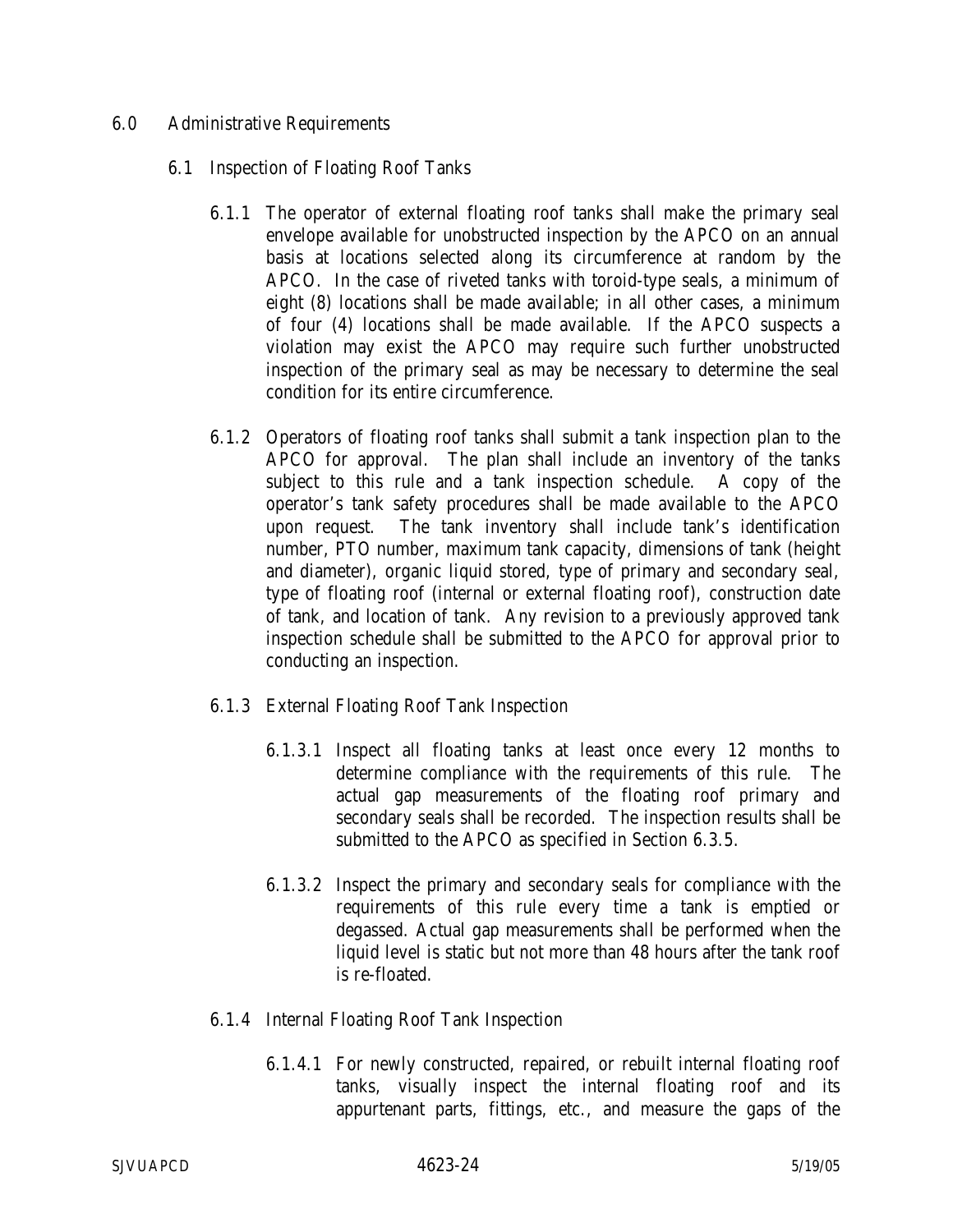### 6.0 Administrative Requirements

- 6.1 Inspection of Floating Roof Tanks
	- 6.1.1 The operator of external floating roof tanks shall make the primary seal envelope available for unobstructed inspection by the APCO on an annual basis at locations selected along its circumference at random by the APCO. In the case of riveted tanks with toroid-type seals, a minimum of eight (8) locations shall be made available; in all other cases, a minimum of four (4) locations shall be made available. If the APCO suspects a violation may exist the APCO may require such further unobstructed inspection of the primary seal as may be necessary to determine the seal condition for its entire circumference.
	- 6.1.2 Operators of floating roof tanks shall submit a tank inspection plan to the APCO for approval. The plan shall include an inventory of the tanks subject to this rule and a tank inspection schedule. A copy of the operator's tank safety procedures shall be made available to the APCO upon request. The tank inventory shall include tank's identification number, PTO number, maximum tank capacity, dimensions of tank (height and diameter), organic liquid stored, type of primary and secondary seal, type of floating roof (internal or external floating roof), construction date of tank, and location of tank. Any revision to a previously approved tank inspection schedule shall be submitted to the APCO for approval prior to conducting an inspection.
	- 6.1.3 External Floating Roof Tank Inspection
		- 6.1.3.1 Inspect all floating tanks at least once every 12 months to determine compliance with the requirements of this rule. The actual gap measurements of the floating roof primary and secondary seals shall be recorded. The inspection results shall be submitted to the APCO as specified in Section 6.3.5.
		- 6.1.3.2 Inspect the primary and secondary seals for compliance with the requirements of this rule every time a tank is emptied or degassed. Actual gap measurements shall be performed when the liquid level is static but not more than 48 hours after the tank roof is re-floated.
	- 6.1.4 Internal Floating Roof Tank Inspection
		- 6.1.4.1 For newly constructed, repaired, or rebuilt internal floating roof tanks, visually inspect the internal floating roof and its appurtenant parts, fittings, etc., and measure the gaps of the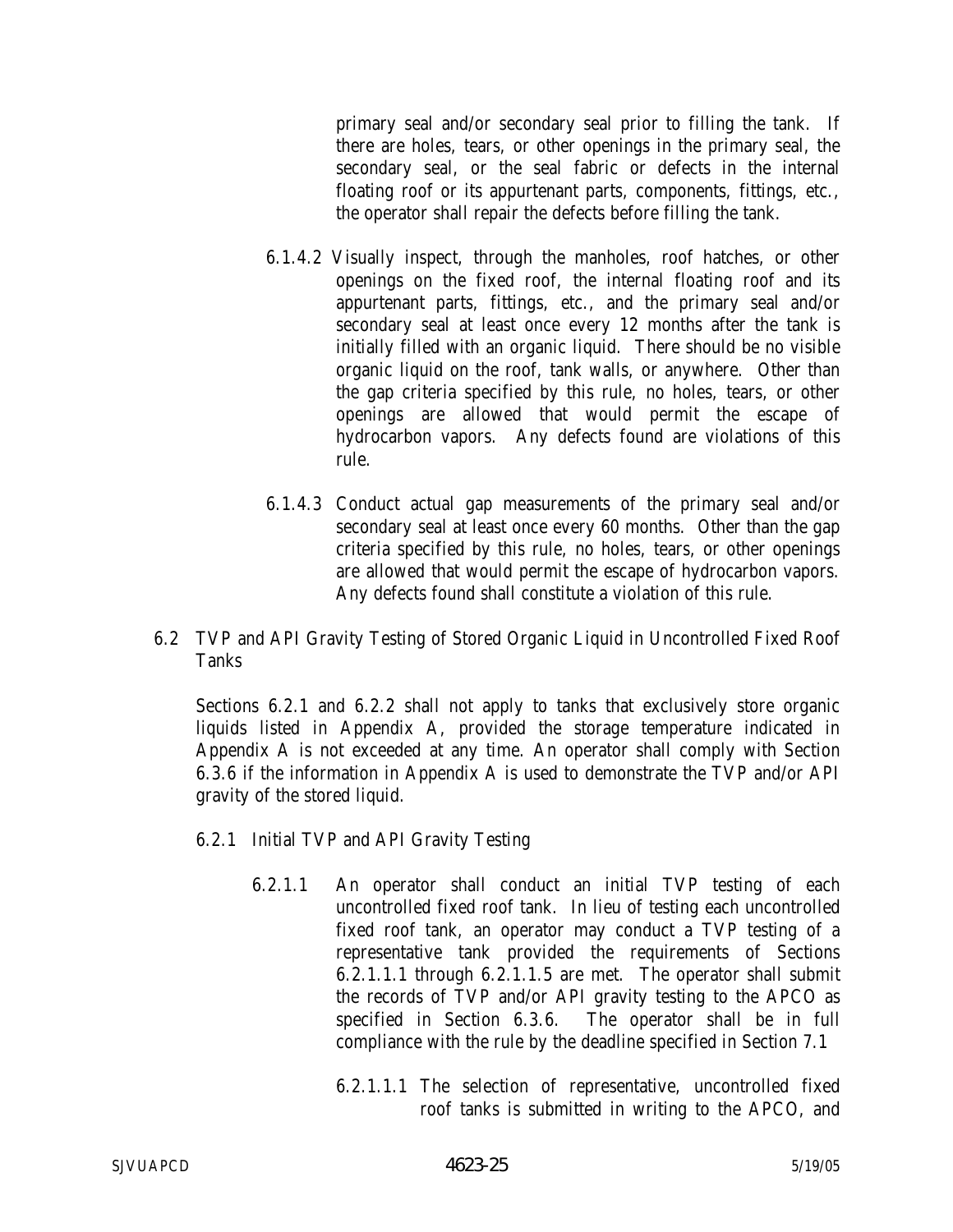primary seal and/or secondary seal prior to filling the tank. If there are holes, tears, or other openings in the primary seal, the secondary seal, or the seal fabric or defects in the internal floating roof or its appurtenant parts, components, fittings, etc., the operator shall repair the defects before filling the tank.

- 6.1.4.2 Visually inspect, through the manholes, roof hatches, or other openings on the fixed roof, the internal floating roof and its appurtenant parts, fittings, etc., and the primary seal and/or secondary seal at least once every 12 months after the tank is initially filled with an organic liquid. There should be no visible organic liquid on the roof, tank walls, or anywhere. Other than the gap criteria specified by this rule, no holes, tears, or other openings are allowed that would permit the escape of hydrocarbon vapors. Any defects found are violations of this rule.
- 6.1.4.3 Conduct actual gap measurements of the primary seal and/or secondary seal at least once every 60 months. Other than the gap criteria specified by this rule, no holes, tears, or other openings are allowed that would permit the escape of hydrocarbon vapors. Any defects found shall constitute a violation of this rule.
- 6.2 TVP and API Gravity Testing of Stored Organic Liquid in Uncontrolled Fixed Roof Tanks

Sections 6.2.1 and 6.2.2 shall not apply to tanks that exclusively store organic liquids listed in Appendix A, provided the storage temperature indicated in Appendix A is not exceeded at any time. An operator shall comply with Section 6.3.6 if the information in Appendix A is used to demonstrate the TVP and/or API gravity of the stored liquid.

- 6.2.1 Initial TVP and API Gravity Testing
	- 6.2.1.1 An operator shall conduct an initial TVP testing of each uncontrolled fixed roof tank. In lieu of testing each uncontrolled fixed roof tank, an operator may conduct a TVP testing of a representative tank provided the requirements of Sections 6.2.1.1.1 through 6.2.1.1.5 are met. The operator shall submit the records of TVP and/or API gravity testing to the APCO as specified in Section 6.3.6. The operator shall be in full compliance with the rule by the deadline specified in Section 7.1
		- 6.2.1.1.1 The selection of representative, uncontrolled fixed roof tanks is submitted in writing to the APCO, and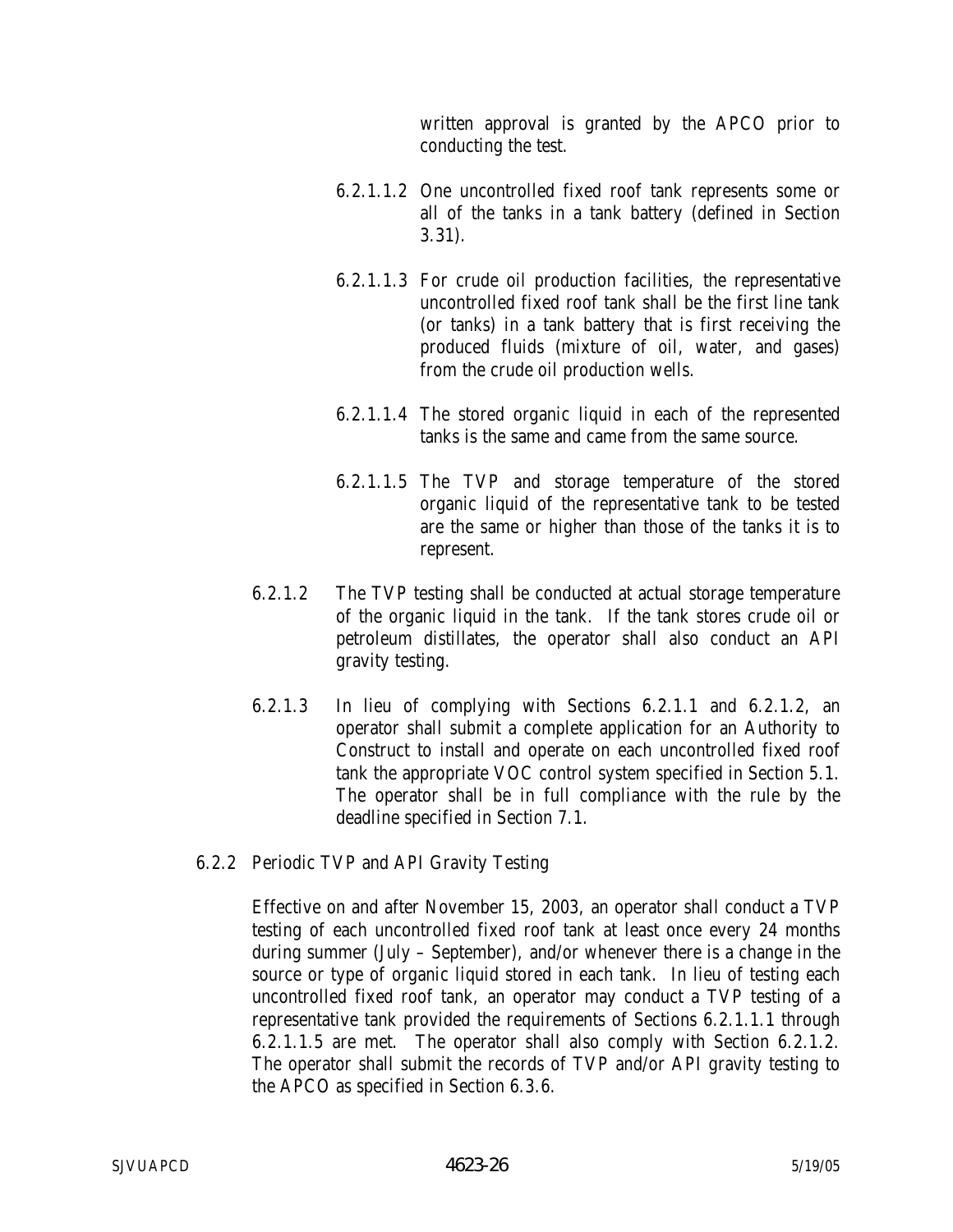written approval is granted by the APCO prior to conducting the test.

- 6.2.1.1.2 One uncontrolled fixed roof tank represents some or all of the tanks in a tank battery (defined in Section 3.31).
- 6.2.1.1.3 For crude oil production facilities, the representative uncontrolled fixed roof tank shall be the first line tank (or tanks) in a tank battery that is first receiving the produced fluids (mixture of oil, water, and gases) from the crude oil production wells.
- 6.2.1.1.4 The stored organic liquid in each of the represented tanks is the same and came from the same source.
- 6.2.1.1.5 The TVP and storage temperature of the stored organic liquid of the representative tank to be tested are the same or higher than those of the tanks it is to represent.
- 6.2.1.2 The TVP testing shall be conducted at actual storage temperature of the organic liquid in the tank. If the tank stores crude oil or petroleum distillates, the operator shall also conduct an API gravity testing.
- 6.2.1.3 In lieu of complying with Sections 6.2.1.1 and 6.2.1.2, an operator shall submit a complete application for an Authority to Construct to install and operate on each uncontrolled fixed roof tank the appropriate VOC control system specified in Section 5.1. The operator shall be in full compliance with the rule by the deadline specified in Section 7.1.
- 6.2.2 Periodic TVP and API Gravity Testing

Effective on and after November 15, 2003, an operator shall conduct a TVP testing of each uncontrolled fixed roof tank at least once every 24 months during summer (July – September), and/or whenever there is a change in the source or type of organic liquid stored in each tank. In lieu of testing each uncontrolled fixed roof tank, an operator may conduct a TVP testing of a representative tank provided the requirements of Sections 6.2.1.1.1 through 6.2.1.1.5 are met. The operator shall also comply with Section 6.2.1.2. The operator shall submit the records of TVP and/or API gravity testing to the APCO as specified in Section 6.3.6.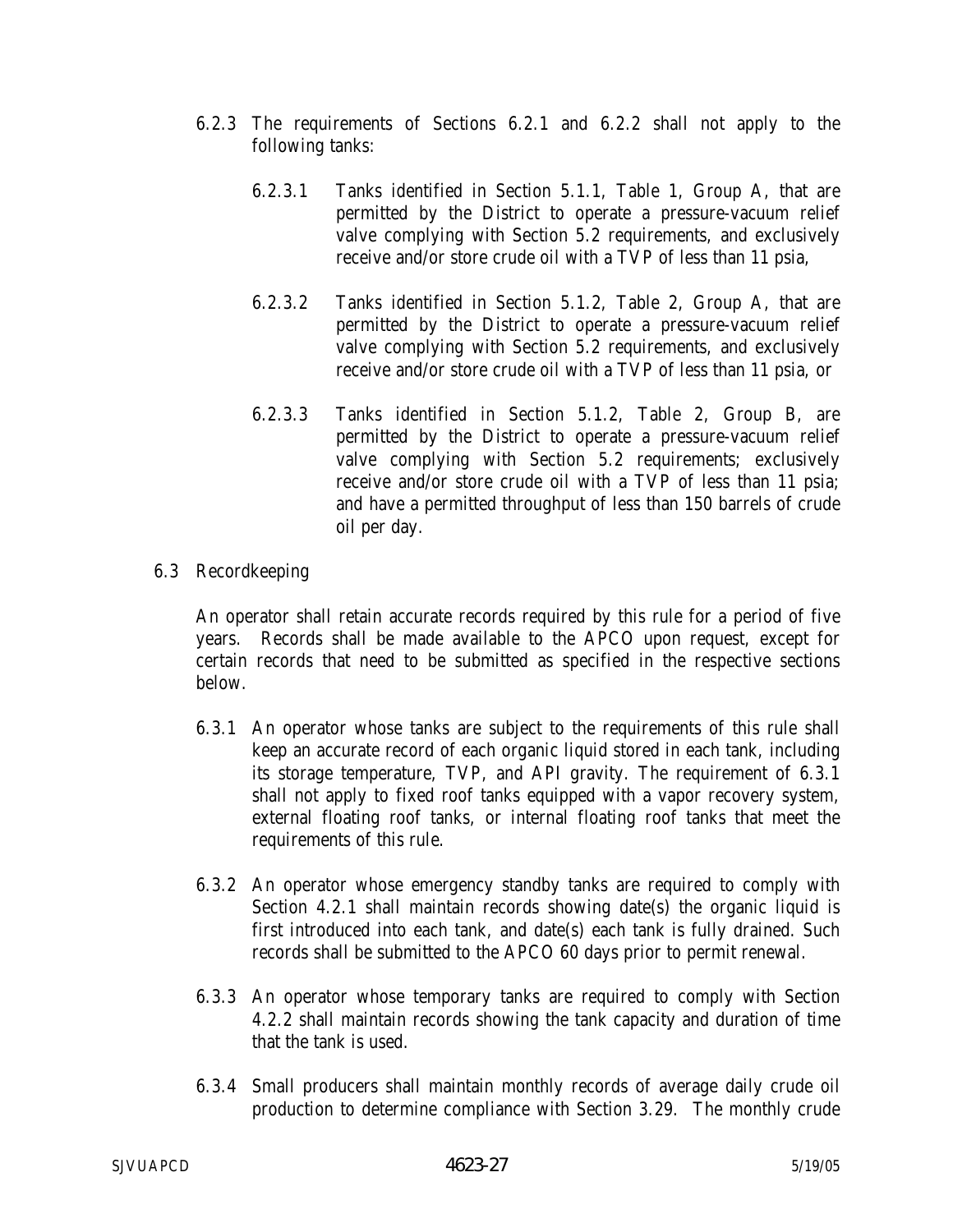- 6.2.3 The requirements of Sections 6.2.1 and 6.2.2 shall not apply to the following tanks:
	- 6.2.3.1 Tanks identified in Section 5.1.1, Table 1, Group A, that are permitted by the District to operate a pressure-vacuum relief valve complying with Section 5.2 requirements, and exclusively receive and/or store crude oil with a TVP of less than 11 psia,
	- 6.2.3.2 Tanks identified in Section 5.1.2, Table 2, Group A, that are permitted by the District to operate a pressure-vacuum relief valve complying with Section 5.2 requirements, and exclusively receive and/or store crude oil with a TVP of less than 11 psia, or
	- 6.2.3.3 Tanks identified in Section 5.1.2, Table 2, Group B, are permitted by the District to operate a pressure-vacuum relief valve complying with Section 5.2 requirements; exclusively receive and/or store crude oil with a TVP of less than 11 psia; and have a permitted throughput of less than 150 barrels of crude oil per day.
- 6.3 Recordkeeping

An operator shall retain accurate records required by this rule for a period of five years. Records shall be made available to the APCO upon request, except for certain records that need to be submitted as specified in the respective sections below.

- 6.3.1 An operator whose tanks are subject to the requirements of this rule shall keep an accurate record of each organic liquid stored in each tank, including its storage temperature, TVP, and API gravity. The requirement of 6.3.1 shall not apply to fixed roof tanks equipped with a vapor recovery system, external floating roof tanks, or internal floating roof tanks that meet the requirements of this rule.
- 6.3.2 An operator whose emergency standby tanks are required to comply with Section 4.2.1 shall maintain records showing date(s) the organic liquid is first introduced into each tank, and date(s) each tank is fully drained. Such records shall be submitted to the APCO 60 days prior to permit renewal.
- 6.3.3 An operator whose temporary tanks are required to comply with Section 4.2.2 shall maintain records showing the tank capacity and duration of time that the tank is used.
- 6.3.4 Small producers shall maintain monthly records of average daily crude oil production to determine compliance with Section 3.29. The monthly crude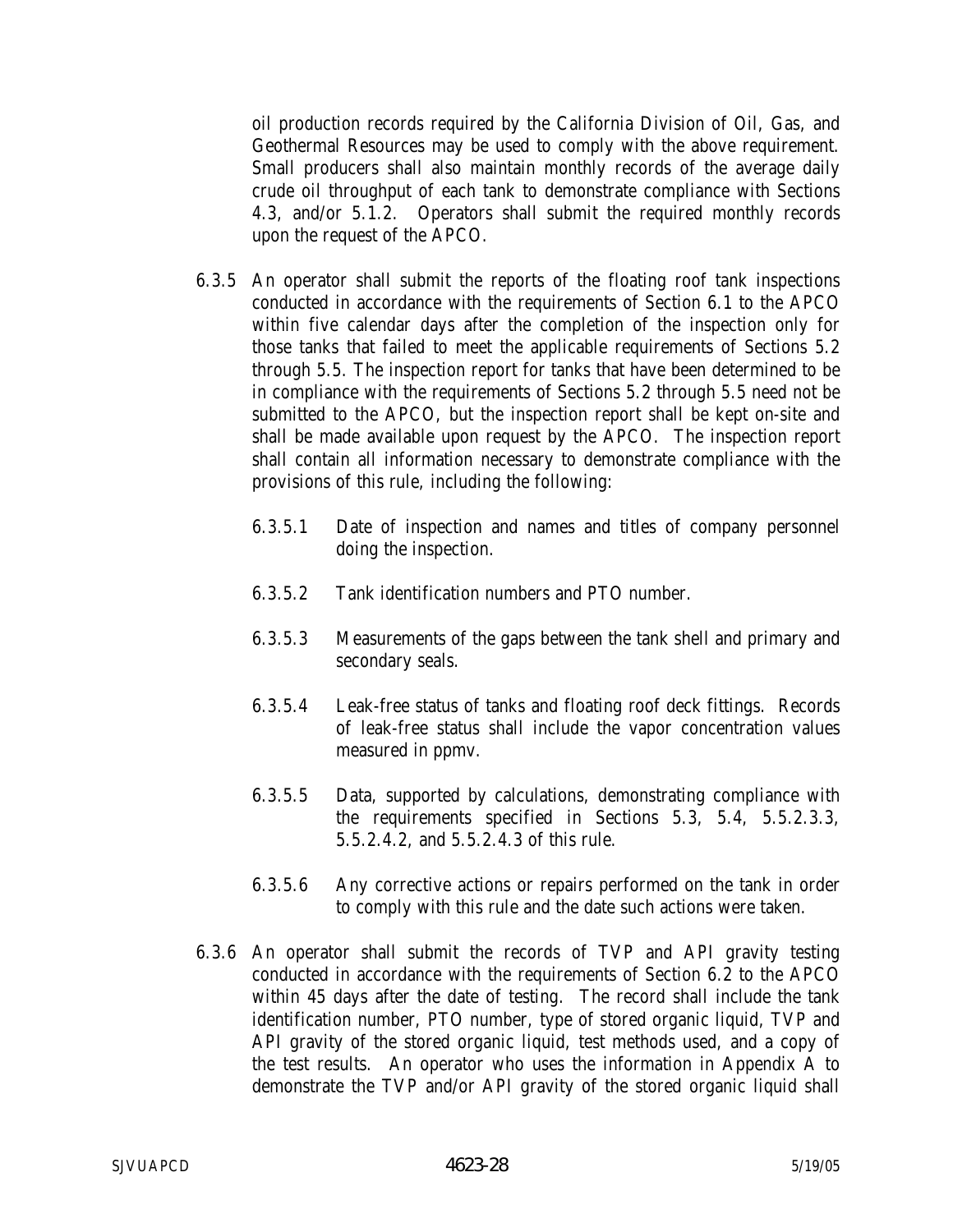oil production records required by the California Division of Oil, Gas, and Geothermal Resources may be used to comply with the above requirement. Small producers shall also maintain monthly records of the average daily crude oil throughput of each tank to demonstrate compliance with Sections 4.3, and/or 5.1.2. Operators shall submit the required monthly records upon the request of the APCO.

- 6.3.5 An operator shall submit the reports of the floating roof tank inspections conducted in accordance with the requirements of Section 6.1 to the APCO within five calendar days after the completion of the inspection only for those tanks that failed to meet the applicable requirements of Sections 5.2 through 5.5. The inspection report for tanks that have been determined to be in compliance with the requirements of Sections 5.2 through 5.5 need not be submitted to the APCO, but the inspection report shall be kept on-site and shall be made available upon request by the APCO. The inspection report shall contain all information necessary to demonstrate compliance with the provisions of this rule, including the following:
	- 6.3.5.1 Date of inspection and names and titles of company personnel doing the inspection.
	- 6.3.5.2 Tank identification numbers and PTO number.
	- 6.3.5.3 Measurements of the gaps between the tank shell and primary and secondary seals.
	- 6.3.5.4 Leak-free status of tanks and floating roof deck fittings. Records of leak-free status shall include the vapor concentration values measured in ppmv.
	- 6.3.5.5 Data, supported by calculations, demonstrating compliance with the requirements specified in Sections 5.3, 5.4, 5.5.2.3.3, 5.5.2.4.2, and 5.5.2.4.3 of this rule.
	- 6.3.5.6 Any corrective actions or repairs performed on the tank in order to comply with this rule and the date such actions were taken.
- 6.3.6 An operator shall submit the records of TVP and API gravity testing conducted in accordance with the requirements of Section 6.2 to the APCO within 45 days after the date of testing. The record shall include the tank identification number, PTO number, type of stored organic liquid, TVP and API gravity of the stored organic liquid, test methods used, and a copy of the test results. An operator who uses the information in Appendix A to demonstrate the TVP and/or API gravity of the stored organic liquid shall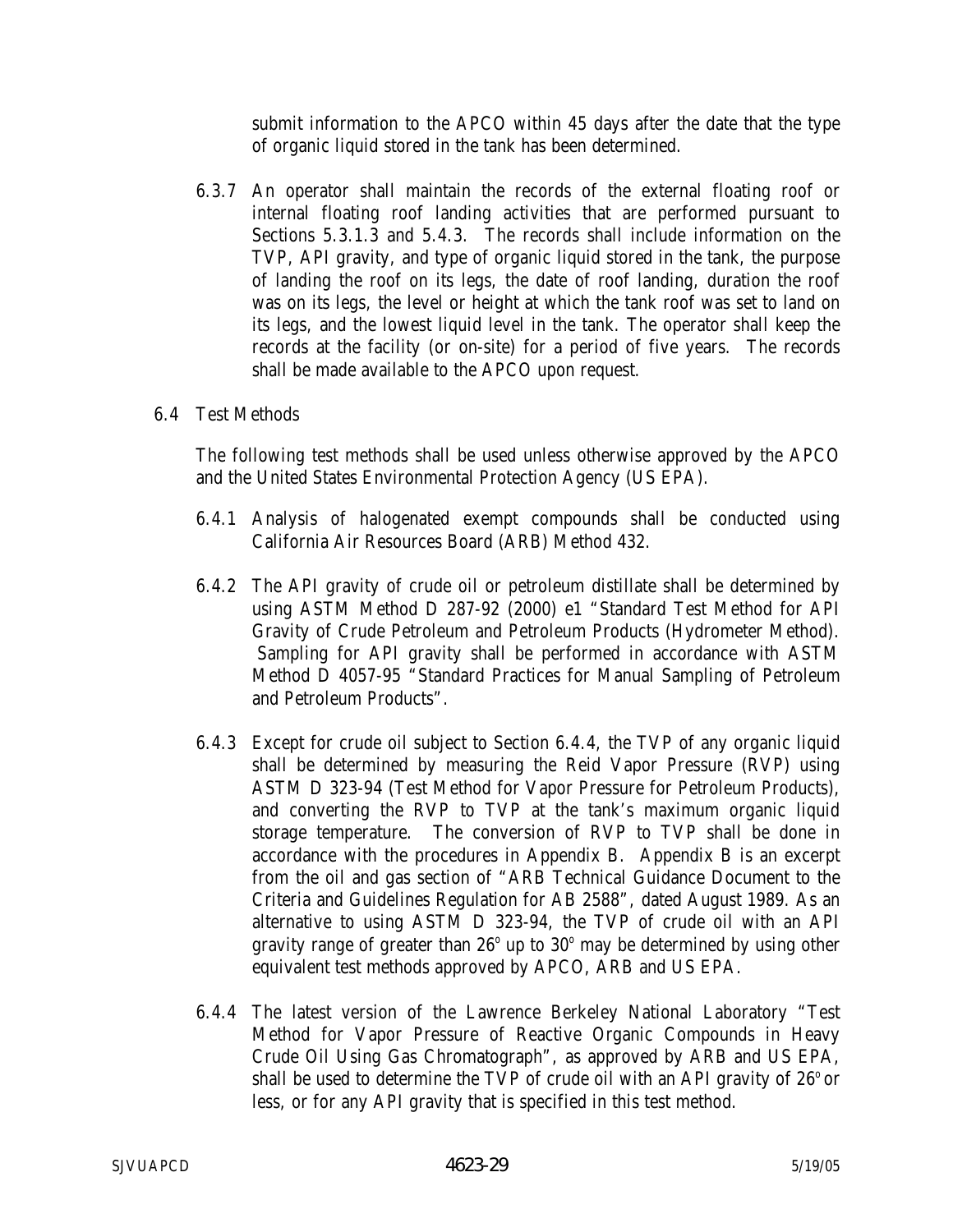submit information to the APCO within 45 days after the date that the type of organic liquid stored in the tank has been determined.

6.3.7 An operator shall maintain the records of the external floating roof or internal floating roof landing activities that are performed pursuant to Sections 5.3.1.3 and 5.4.3. The records shall include information on the TVP, API gravity, and type of organic liquid stored in the tank, the purpose of landing the roof on its legs, the date of roof landing, duration the roof was on its legs, the level or height at which the tank roof was set to land on its legs, and the lowest liquid level in the tank. The operator shall keep the records at the facility (or on-site) for a period of five years. The records shall be made available to the APCO upon request.

### 6.4 Test Methods

The following test methods shall be used unless otherwise approved by the APCO and the United States Environmental Protection Agency (US EPA).

- 6.4.1 Analysis of halogenated exempt compounds shall be conducted using California Air Resources Board (ARB) Method 432.
- 6.4.2 The API gravity of crude oil or petroleum distillate shall be determined by using ASTM Method D 287-92 (2000) e1 "Standard Test Method for API Gravity of Crude Petroleum and Petroleum Products (Hydrometer Method). Sampling for API gravity shall be performed in accordance with ASTM Method D 4057-95 "Standard Practices for Manual Sampling of Petroleum and Petroleum Products".
- 6.4.3 Except for crude oil subject to Section 6.4.4, the TVP of any organic liquid shall be determined by measuring the Reid Vapor Pressure (RVP) using ASTM D 323-94 (Test Method for Vapor Pressure for Petroleum Products), and converting the RVP to TVP at the tank's maximum organic liquid storage temperature. The conversion of RVP to TVP shall be done in accordance with the procedures in Appendix B. Appendix B is an excerpt from the oil and gas section of "ARB Technical Guidance Document to the Criteria and Guidelines Regulation for AB 2588", dated August 1989. As an alternative to using ASTM D 323-94, the TVP of crude oil with an API gravity range of greater than  $26^{\circ}$  up to  $30^{\circ}$  may be determined by using other equivalent test methods approved by APCO, ARB and US EPA.
- 6.4.4 The latest version of the Lawrence Berkeley National Laboratory "Test Method for Vapor Pressure of Reactive Organic Compounds in Heavy Crude Oil Using Gas Chromatograph", as approved by ARB and US EPA, shall be used to determine the TVP of crude oil with an API gravity of  $26^{\circ}$  or less, or for any API gravity that is specified in this test method.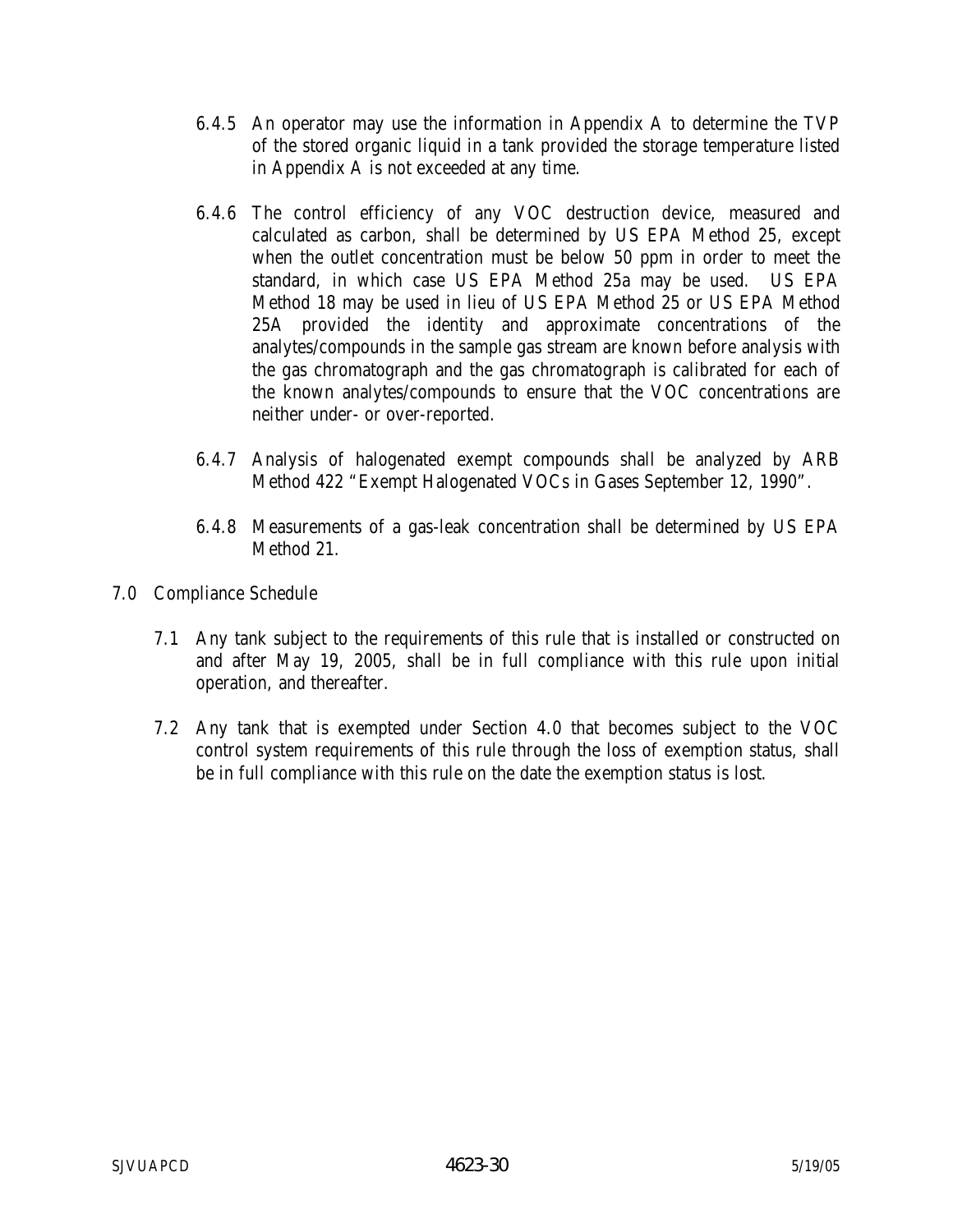- 6.4.5 An operator may use the information in Appendix A to determine the TVP of the stored organic liquid in a tank provided the storage temperature listed in Appendix A is not exceeded at any time.
- 6.4.6 The control efficiency of any VOC destruction device, measured and calculated as carbon, shall be determined by US EPA Method 25, except when the outlet concentration must be below 50 ppm in order to meet the standard, in which case US EPA Method 25a may be used. US EPA Method 18 may be used in lieu of US EPA Method 25 or US EPA Method 25A provided the identity and approximate concentrations of the analytes/compounds in the sample gas stream are known before analysis with the gas chromatograph and the gas chromatograph is calibrated for each of the known analytes/compounds to ensure that the VOC concentrations are neither under- or over-reported.
- 6.4.7 Analysis of halogenated exempt compounds shall be analyzed by ARB Method 422 "Exempt Halogenated VOCs in Gases September 12, 1990".
- 6.4.8 Measurements of a gas-leak concentration shall be determined by US EPA Method 21.
- 7.0 Compliance Schedule
	- 7.1 Any tank subject to the requirements of this rule that is installed or constructed on and after May 19, 2005, shall be in full compliance with this rule upon initial operation, and thereafter.
	- 7.2 Any tank that is exempted under Section 4.0 that becomes subject to the VOC control system requirements of this rule through the loss of exemption status, shall be in full compliance with this rule on the date the exemption status is lost.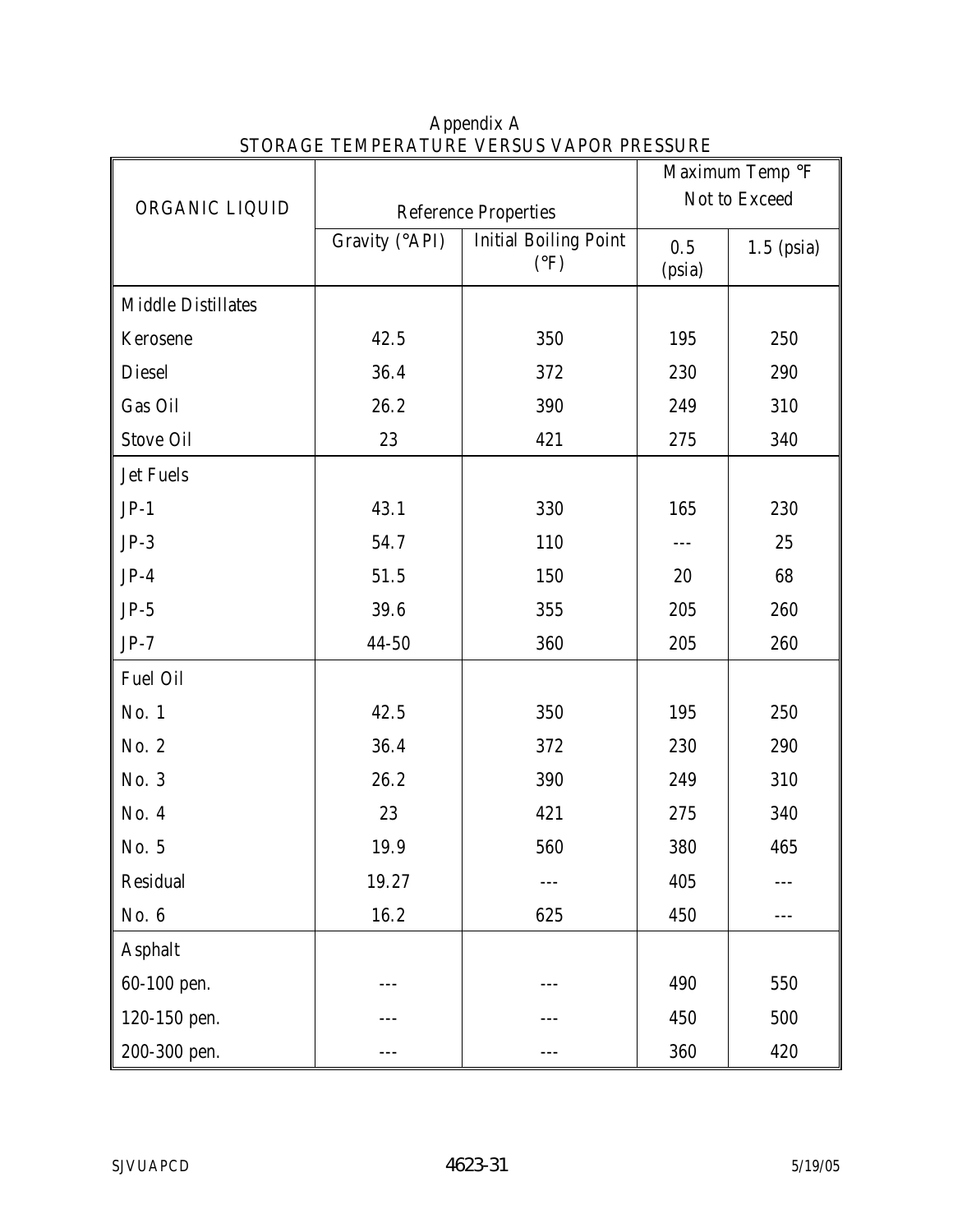| DI ONTOLI TENII ENTI ONE VENDOD V/II ON I NEODONE<br>Maximum Temp °F |                             |                                               |               |              |
|----------------------------------------------------------------------|-----------------------------|-----------------------------------------------|---------------|--------------|
| ORGANIC LIQUID                                                       | <b>Reference Properties</b> | Not to Exceed                                 |               |              |
|                                                                      | Gravity (°API)              | <b>Initial Boiling Point</b><br>$(^{\circ}F)$ | 0.5<br>(psia) | $1.5$ (psia) |
| <b>Middle Distillates</b>                                            |                             |                                               |               |              |
| Kerosene                                                             | 42.5                        | 350                                           | 195           | 250          |
| <b>Diesel</b>                                                        | 36.4                        | 372                                           | 230           | 290          |
| Gas Oil                                                              | 26.2                        | 390                                           | 249           | 310          |
| <b>Stove Oil</b>                                                     | 23                          | 421                                           | 275           | 340          |
| <b>Jet Fuels</b>                                                     |                             |                                               |               |              |
| $JP-1$                                                               | 43.1                        | 330                                           | 165           | 230          |
| $JP-3$                                                               | 54.7                        | 110                                           |               | 25           |
| $JP-4$                                                               | 51.5                        | 150                                           | 20            | 68           |
| $JP-5$                                                               | 39.6                        | 355                                           | 205           | 260          |
| $JP-7$                                                               | $44 - 50$                   | 360                                           | 205           | 260          |
| Fuel Oil                                                             |                             |                                               |               |              |
| No. 1                                                                | 42.5                        | 350                                           | 195           | 250          |
| No. 2                                                                | 36.4                        | 372                                           | 230           | 290          |
| No. 3                                                                | 26.2                        | 390                                           | 249           | 310          |
| No. 4                                                                | 23                          | 421                                           | 275           | 340          |
| No. 5                                                                | 19.9                        | 560                                           | 380           | 465          |
| Residual                                                             | 19.27                       |                                               | 405           |              |
| No. 6                                                                | 16.2                        | 625                                           | 450           | ---          |
| <b>Asphalt</b>                                                       |                             |                                               |               |              |
| 60-100 pen.                                                          |                             |                                               | 490           | 550          |
| 120-150 pen.                                                         |                             |                                               | 450           | 500          |
| 200-300 pen.                                                         |                             |                                               | 360           | 420          |

Appendix A STORAGE TEMPERATURE VERSUS VAPOR PRESSURE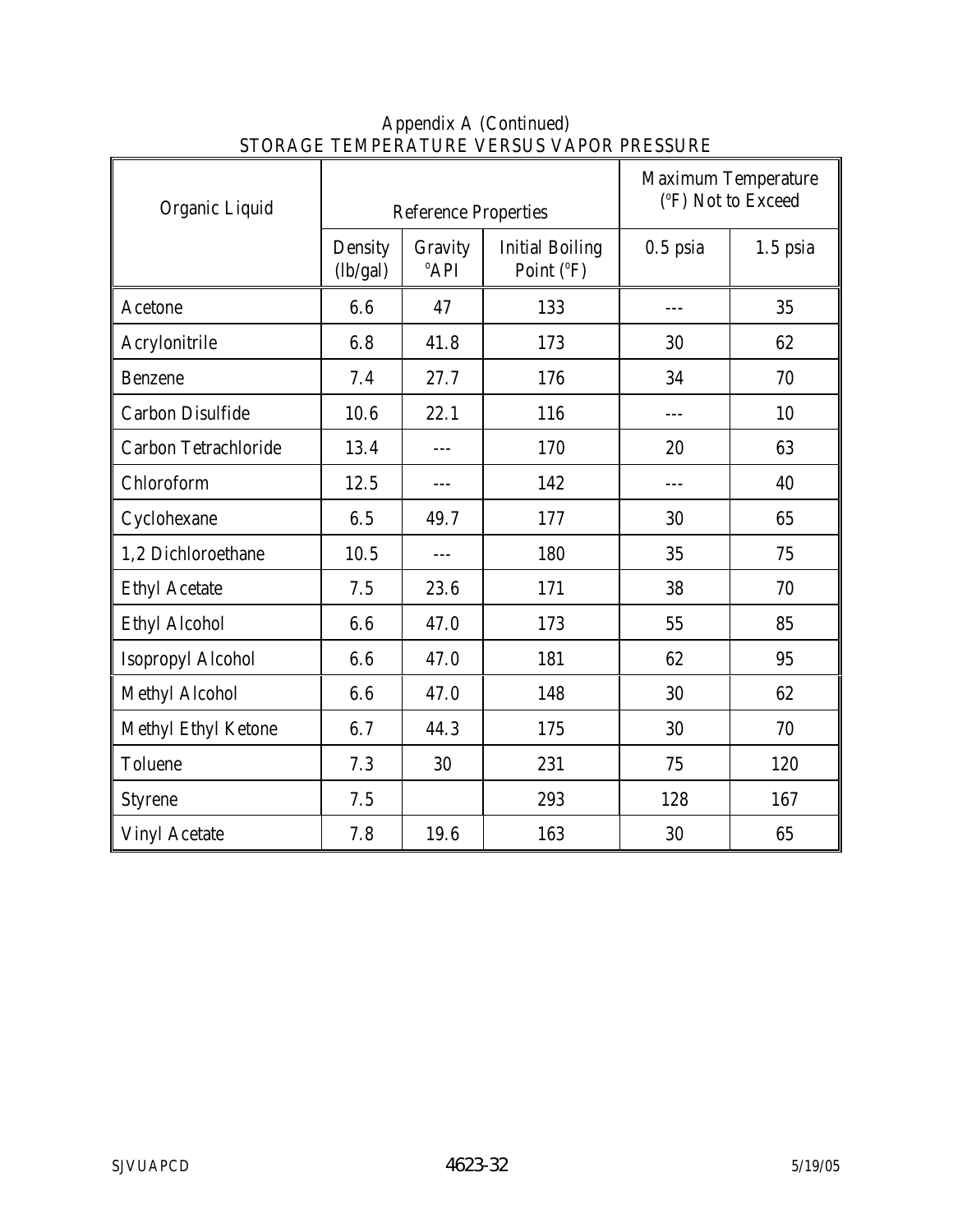| Organic Liquid              | <b>Reference Properties</b> |                             |                                      | <b>Maximum Temperature</b><br>(°F) Not to Exceed |            |
|-----------------------------|-----------------------------|-----------------------------|--------------------------------------|--------------------------------------------------|------------|
|                             | Density<br>(lb/gal)         | Gravity<br><sup>°</sup> API | <b>Initial Boiling</b><br>Point (°F) | $0.5$ psia                                       | $1.5$ psia |
| Acetone                     | 6.6                         | 47                          | 133                                  | ---                                              | 35         |
| Acrylonitrile               | 6.8                         | 41.8                        | 173                                  | 30                                               | 62         |
| <b>Benzene</b>              | 7.4                         | 27.7                        | 176                                  | 34                                               | 70         |
| <b>Carbon Disulfide</b>     | 10.6                        | 22.1                        | 116                                  |                                                  | 10         |
| <b>Carbon Tetrachloride</b> | 13.4                        | $ -$                        | 170                                  | 20                                               | 63         |
| Chloroform                  | 12.5                        | $---$                       | 142                                  | $---$                                            | 40         |
| Cyclohexane                 | 6.5                         | 49.7                        | 177                                  | 30                                               | 65         |
| 1,2 Dichloroethane          | 10.5                        | $---$                       | 180                                  | 35                                               | 75         |
| <b>Ethyl Acetate</b>        | 7.5                         | 23.6                        | 171                                  | 38                                               | 70         |
| <b>Ethyl Alcohol</b>        | 6.6                         | 47.0                        | 173                                  | 55                                               | 85         |
| <b>Isopropyl Alcohol</b>    | 6.6                         | 47.0                        | 181                                  | 62                                               | 95         |
| <b>Methyl Alcohol</b>       | 6.6                         | 47.0                        | 148                                  | 30                                               | 62         |
| Methyl Ethyl Ketone         | 6.7                         | 44.3                        | 175                                  | 30                                               | 70         |
| <b>Toluene</b>              | 7.3                         | 30                          | 231                                  | 75                                               | 120        |
| <b>Styrene</b>              | 7.5                         |                             | 293                                  | 128                                              | 167        |
| <b>Vinyl Acetate</b>        | 7.8                         | 19.6                        | 163                                  | 30                                               | 65         |

### Appendix A (Continued) STORAGE TEMPERATURE VERSUS VAPOR PRESSURE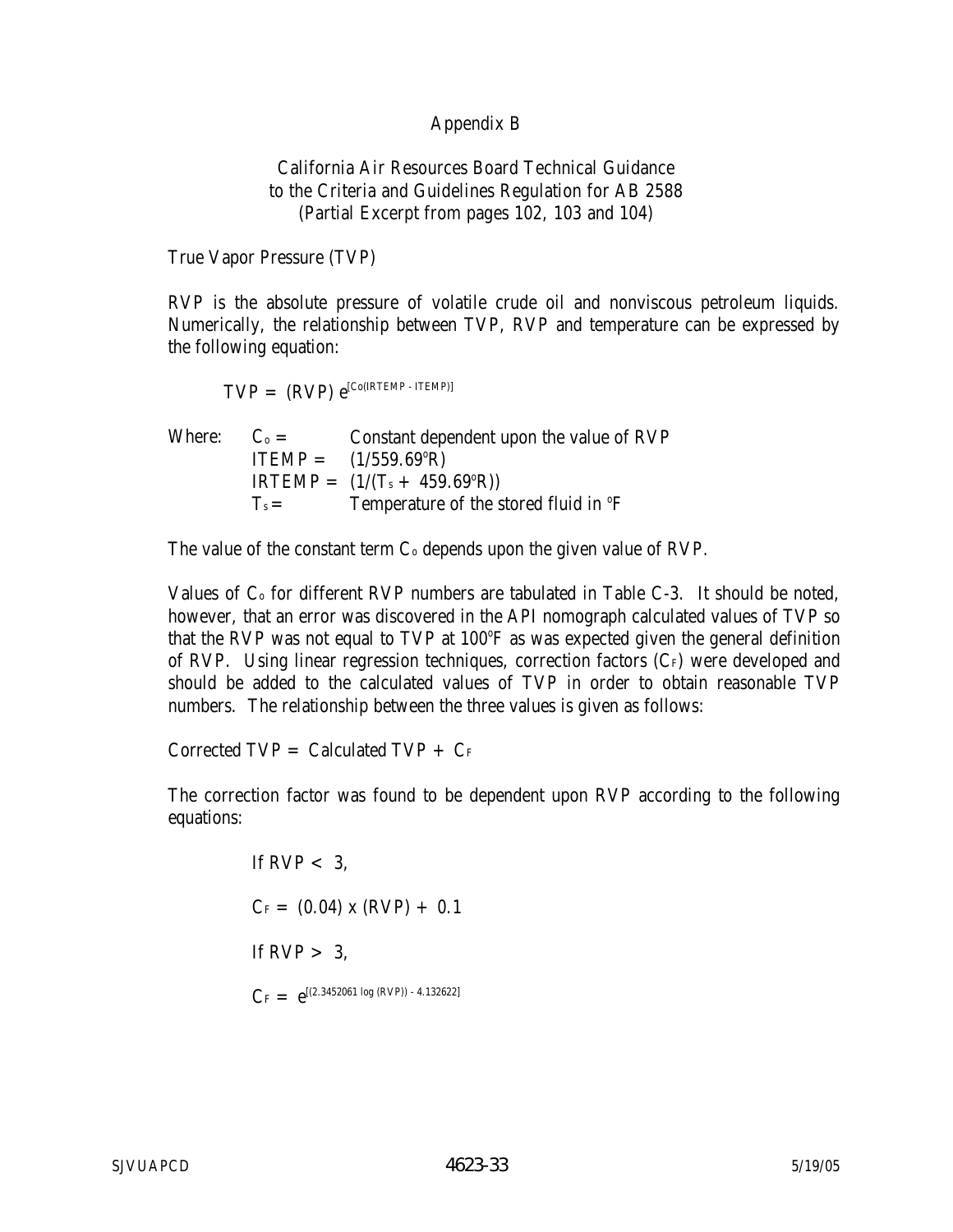### Appendix B

California Air Resources Board Technical Guidance to the Criteria and Guidelines Regulation for AB 2588 (Partial Excerpt from pages 102, 103 and 104)

True Vapor Pressure (TVP)

RVP is the absolute pressure of volatile crude oil and nonviscous petroleum liquids. Numerically, the relationship between TVP, RVP and temperature can be expressed by the following equation:

$$
TVP = (RVP) e^{[Co(RTEMP - TTEMP)]}
$$

Where:  $C_0 =$  Constant dependent upon the value of RVP  $ITEMP = (1/559.69^{\circ}R)$  $IRTEMP = (1/(T<sub>s</sub> + 459.69<sup>o</sup>R))$  $T_s =$  Temperature of the stored fluid in  ${}^{\circ}F$ 

The value of the constant term  $C_0$  depends upon the given value of RVP.

Values of  $C_0$  for different RVP numbers are tabulated in Table  $C_0$ -3. It should be noted, however, that an error was discovered in the API nomograph calculated values of TVP so that the RVP was not equal to TVP at 100°F as was expected given the general definition of RVP. Using linear regression techniques, correction factors  $(C_F)$  were developed and should be added to the calculated values of TVP in order to obtain reasonable TVP numbers. The relationship between the three values is given as follows:

Corrected  $TVP =$  Calculated  $TVP + CF$ 

The correction factor was found to be dependent upon RVP according to the following equations:

> If RVP  $< 3$ .  $C_F = (0.04) \times (RVP) + 0.1$ If  $RVP > 3$ ,  $C_F = e^{[(2.3452061 \log (RVP)) - 4.132622]}$